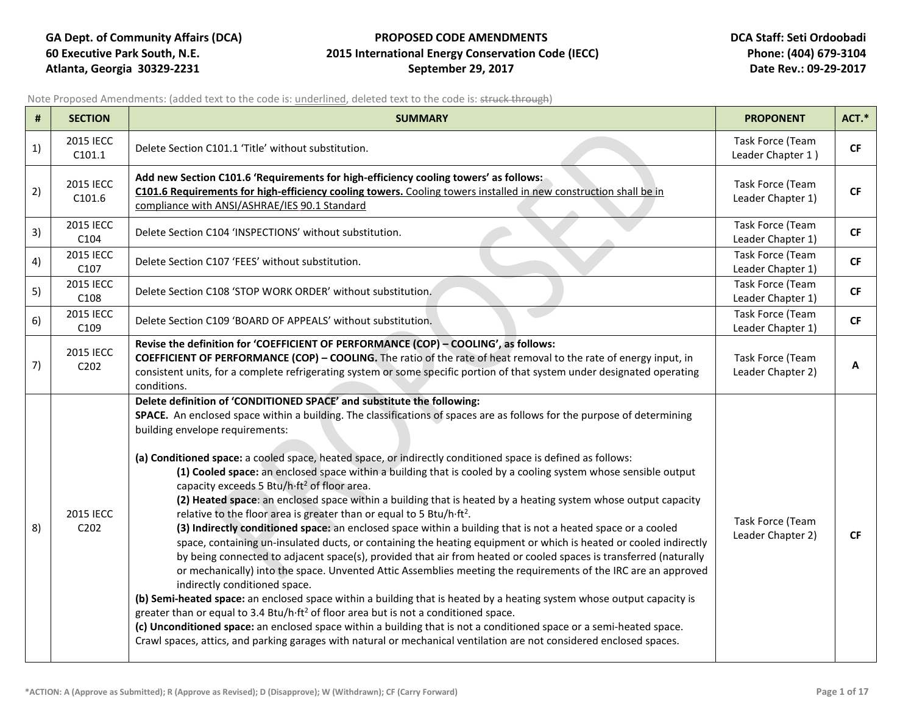## **GA Dept. of Community Affairs (DCA) PROPOSED CODE AMENDMENTS DCA Staff: Seti Ordoobadi 60 Executive Park South, N.E. 2015 International Energy Conservation Code (IECC) Phone: (404) 679-3104 Atlanta, Georgia 30329-2231 September 29, 2017 Date Rev.: 09-29-2017**

Note Proposed Amendments: (added text to the code is: underlined, deleted text to the code is: struck through)

| #  | <b>SECTION</b>                             | <b>SUMMARY</b>                                                                                                                                                                                                                                                                                                                                                                                                                                                                                                                                                                                                                                                                                                                                                                                                                                                                                                                                                                                                                                                                                                                                                                                                                                                                                                                                                                                                                                                                                                                                                                                                                                                                                                                    | <b>PROPONENT</b>                      | ACT.*     |
|----|--------------------------------------------|-----------------------------------------------------------------------------------------------------------------------------------------------------------------------------------------------------------------------------------------------------------------------------------------------------------------------------------------------------------------------------------------------------------------------------------------------------------------------------------------------------------------------------------------------------------------------------------------------------------------------------------------------------------------------------------------------------------------------------------------------------------------------------------------------------------------------------------------------------------------------------------------------------------------------------------------------------------------------------------------------------------------------------------------------------------------------------------------------------------------------------------------------------------------------------------------------------------------------------------------------------------------------------------------------------------------------------------------------------------------------------------------------------------------------------------------------------------------------------------------------------------------------------------------------------------------------------------------------------------------------------------------------------------------------------------------------------------------------------------|---------------------------------------|-----------|
| 1) | 2015 IECC<br>C101.1                        | Delete Section C101.1 'Title' without substitution.                                                                                                                                                                                                                                                                                                                                                                                                                                                                                                                                                                                                                                                                                                                                                                                                                                                                                                                                                                                                                                                                                                                                                                                                                                                                                                                                                                                                                                                                                                                                                                                                                                                                               | Task Force (Team<br>Leader Chapter 1) | <b>CF</b> |
| 2) | <b>2015 IECC</b><br>C101.6                 | Add new Section C101.6 'Requirements for high-efficiency cooling towers' as follows:<br>C101.6 Requirements for high-efficiency cooling towers. Cooling towers installed in new construction shall be in<br>compliance with ANSI/ASHRAE/IES 90.1 Standard                                                                                                                                                                                                                                                                                                                                                                                                                                                                                                                                                                                                                                                                                                                                                                                                                                                                                                                                                                                                                                                                                                                                                                                                                                                                                                                                                                                                                                                                         | Task Force (Team<br>Leader Chapter 1) | CF        |
| 3) | <b>2015 IECC</b><br>C104                   | Delete Section C104 'INSPECTIONS' without substitution.                                                                                                                                                                                                                                                                                                                                                                                                                                                                                                                                                                                                                                                                                                                                                                                                                                                                                                                                                                                                                                                                                                                                                                                                                                                                                                                                                                                                                                                                                                                                                                                                                                                                           | Task Force (Team<br>Leader Chapter 1) | CF        |
| 4) | <b>2015 IECC</b><br>C107                   | Delete Section C107 'FEES' without substitution.                                                                                                                                                                                                                                                                                                                                                                                                                                                                                                                                                                                                                                                                                                                                                                                                                                                                                                                                                                                                                                                                                                                                                                                                                                                                                                                                                                                                                                                                                                                                                                                                                                                                                  | Task Force (Team<br>Leader Chapter 1) | <b>CF</b> |
| 5) | 2015 IECC<br>C108                          | Delete Section C108 'STOP WORK ORDER' without substitution.                                                                                                                                                                                                                                                                                                                                                                                                                                                                                                                                                                                                                                                                                                                                                                                                                                                                                                                                                                                                                                                                                                                                                                                                                                                                                                                                                                                                                                                                                                                                                                                                                                                                       | Task Force (Team<br>Leader Chapter 1) | <b>CF</b> |
| 6) | <b>2015 IECC</b><br>C109                   | Delete Section C109 'BOARD OF APPEALS' without substitution.                                                                                                                                                                                                                                                                                                                                                                                                                                                                                                                                                                                                                                                                                                                                                                                                                                                                                                                                                                                                                                                                                                                                                                                                                                                                                                                                                                                                                                                                                                                                                                                                                                                                      | Task Force (Team<br>Leader Chapter 1) | CF        |
| 7) | 2015 IECC<br>C <sub>2</sub> 0 <sub>2</sub> | Revise the definition for 'COEFFICIENT OF PERFORMANCE (COP) - COOLING', as follows:<br><b>COEFFICIENT OF PERFORMANCE (COP) - COOLING.</b> The ratio of the rate of heat removal to the rate of energy input, in<br>consistent units, for a complete refrigerating system or some specific portion of that system under designated operating<br>conditions.                                                                                                                                                                                                                                                                                                                                                                                                                                                                                                                                                                                                                                                                                                                                                                                                                                                                                                                                                                                                                                                                                                                                                                                                                                                                                                                                                                        | Task Force (Team<br>Leader Chapter 2) | А         |
| 8) | <b>2015 IECC</b><br>C202                   | Delete definition of 'CONDITIONED SPACE' and substitute the following:<br>SPACE. An enclosed space within a building. The classifications of spaces are as follows for the purpose of determining<br>building envelope requirements:<br>(a) Conditioned space: a cooled space, heated space, or indirectly conditioned space is defined as follows:<br>(1) Cooled space: an enclosed space within a building that is cooled by a cooling system whose sensible output<br>capacity exceeds 5 Btu/h·ft <sup>2</sup> of floor area.<br>(2) Heated space: an enclosed space within a building that is heated by a heating system whose output capacity<br>relative to the floor area is greater than or equal to 5 Btu/h·ft <sup>2</sup> .<br>(3) Indirectly conditioned space: an enclosed space within a building that is not a heated space or a cooled<br>space, containing un-insulated ducts, or containing the heating equipment or which is heated or cooled indirectly<br>by being connected to adjacent space(s), provided that air from heated or cooled spaces is transferred (naturally<br>or mechanically) into the space. Unvented Attic Assemblies meeting the requirements of the IRC are an approved<br>indirectly conditioned space.<br>(b) Semi-heated space: an enclosed space within a building that is heated by a heating system whose output capacity is<br>greater than or equal to 3.4 Btu/h·ft <sup>2</sup> of floor area but is not a conditioned space.<br>(c) Unconditioned space: an enclosed space within a building that is not a conditioned space or a semi-heated space.<br>Crawl spaces, attics, and parking garages with natural or mechanical ventilation are not considered enclosed spaces. | Task Force (Team<br>Leader Chapter 2) | <b>CF</b> |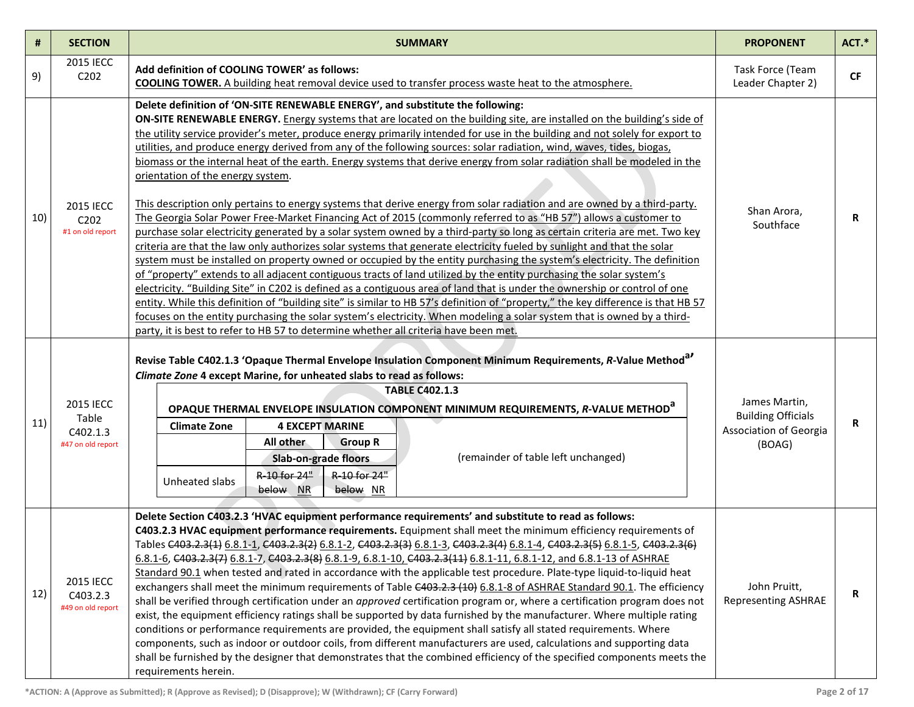| #   | <b>SECTION</b>                                             | <b>SUMMARY</b>                                                                                                                                                                                                                                                                                                                                                                                                                                                                                                                                                                                                                                                                                                                                                                                                                                                                                                                                                                                                                                                                                                                                                                                                                                                                                                                                                                                                                                                                                                                                                                                                                                                                                                                                                                                                                                                                          | <b>PROPONENT</b>                                                               | ACT.*     |
|-----|------------------------------------------------------------|-----------------------------------------------------------------------------------------------------------------------------------------------------------------------------------------------------------------------------------------------------------------------------------------------------------------------------------------------------------------------------------------------------------------------------------------------------------------------------------------------------------------------------------------------------------------------------------------------------------------------------------------------------------------------------------------------------------------------------------------------------------------------------------------------------------------------------------------------------------------------------------------------------------------------------------------------------------------------------------------------------------------------------------------------------------------------------------------------------------------------------------------------------------------------------------------------------------------------------------------------------------------------------------------------------------------------------------------------------------------------------------------------------------------------------------------------------------------------------------------------------------------------------------------------------------------------------------------------------------------------------------------------------------------------------------------------------------------------------------------------------------------------------------------------------------------------------------------------------------------------------------------|--------------------------------------------------------------------------------|-----------|
| 9)  | <b>2015 IECC</b><br>C202                                   | Add definition of COOLING TOWER' as follows:<br><b>COOLING TOWER.</b> A building heat removal device used to transfer process waste heat to the atmosphere.                                                                                                                                                                                                                                                                                                                                                                                                                                                                                                                                                                                                                                                                                                                                                                                                                                                                                                                                                                                                                                                                                                                                                                                                                                                                                                                                                                                                                                                                                                                                                                                                                                                                                                                             | Task Force (Team<br>Leader Chapter 2)                                          | <b>CF</b> |
| 10) | <b>2015 IECC</b><br>C202<br>#1 on old report               | Delete definition of 'ON-SITE RENEWABLE ENERGY', and substitute the following:<br>ON-SITE RENEWABLE ENERGY. Energy systems that are located on the building site, are installed on the building's side of<br>the utility service provider's meter, produce energy primarily intended for use in the building and not solely for export to<br>utilities, and produce energy derived from any of the following sources: solar radiation, wind, waves, tides, biogas,<br>biomass or the internal heat of the earth. Energy systems that derive energy from solar radiation shall be modeled in the<br>orientation of the energy system.<br>This description only pertains to energy systems that derive energy from solar radiation and are owned by a third-party.<br>The Georgia Solar Power Free-Market Financing Act of 2015 (commonly referred to as "HB 57") allows a customer to<br>purchase solar electricity generated by a solar system owned by a third-party so long as certain criteria are met. Two key<br>criteria are that the law only authorizes solar systems that generate electricity fueled by sunlight and that the solar<br>system must be installed on property owned or occupied by the entity purchasing the system's electricity. The definition<br>of "property" extends to all adjacent contiguous tracts of land utilized by the entity purchasing the solar system's<br>electricity. "Building Site" in C202 is defined as a contiguous area of land that is under the ownership or control of one<br>entity. While this definition of "building site" is similar to HB 57's definition of "property," the key difference is that HB 57<br>focuses on the entity purchasing the solar system's electricity. When modeling a solar system that is owned by a third-<br>party, it is best to refer to HB 57 to determine whether all criteria have been met. | Shan Arora,<br>Southface                                                       | R         |
| 11) | <b>2015 IECC</b><br>Table<br>C402.1.3<br>#47 on old report | Revise Table C402.1.3 'Opaque Thermal Envelope Insulation Component Minimum Requirements, R-Value Method <sup>a</sup><br>Climate Zone 4 except Marine, for unheated slabs to read as follows:<br><b>TABLE C402.1.3</b><br>OPAQUE THERMAL ENVELOPE INSULATION COMPONENT MINIMUM REQUIREMENTS, R-VALUE METHOD <sup>a</sup><br><b>4 EXCEPT MARINE</b><br><b>Climate Zone</b><br>All other<br><b>Group R</b><br>(remainder of table left unchanged)<br>Slab-on-grade floors<br>R-10 for 24"<br>R-10 for 24"<br>Unheated slabs<br>below NR<br>below NR                                                                                                                                                                                                                                                                                                                                                                                                                                                                                                                                                                                                                                                                                                                                                                                                                                                                                                                                                                                                                                                                                                                                                                                                                                                                                                                                       | James Martin,<br><b>Building Officials</b><br>Association of Georgia<br>(BOAG) | R         |
| 12) | <b>2015 IECC</b><br>C403.2.3<br>#49 on old report          | Delete Section C403.2.3 'HVAC equipment performance requirements' and substitute to read as follows:<br>C403.2.3 HVAC equipment performance requirements. Equipment shall meet the minimum efficiency requirements of<br>Tables C403.2.3(1) 6.8.1-1, C403.2.3(2) 6.8.1-2, C403.2.3(3) 6.8.1-3, C403.2.3(4) 6.8.1-4, C403.2.3(5) 6.8.1-5, C403.2.3(6)<br>6.8.1-6, C403.2.3(7) 6.8.1-7, C403.2.3(8) 6.8.1-9, 6.8.1-10, C403.2.3(11) 6.8.1-11, 6.8.1-12, and 6.8.1-13 of ASHRAE<br>Standard 90.1 when tested and rated in accordance with the applicable test procedure. Plate-type liquid-to-liquid heat<br>exchangers shall meet the minimum requirements of Table C403.2.3 (10) 6.8.1-8 of ASHRAE Standard 90.1. The efficiency<br>shall be verified through certification under an approved certification program or, where a certification program does not<br>exist, the equipment efficiency ratings shall be supported by data furnished by the manufacturer. Where multiple rating<br>conditions or performance requirements are provided, the equipment shall satisfy all stated requirements. Where<br>components, such as indoor or outdoor coils, from different manufacturers are used, calculations and supporting data<br>shall be furnished by the designer that demonstrates that the combined efficiency of the specified components meets the<br>requirements herein.                                                                                                                                                                                                                                                                                                                                                                                                                                                                                                  | John Pruitt,<br><b>Representing ASHRAE</b>                                     | R         |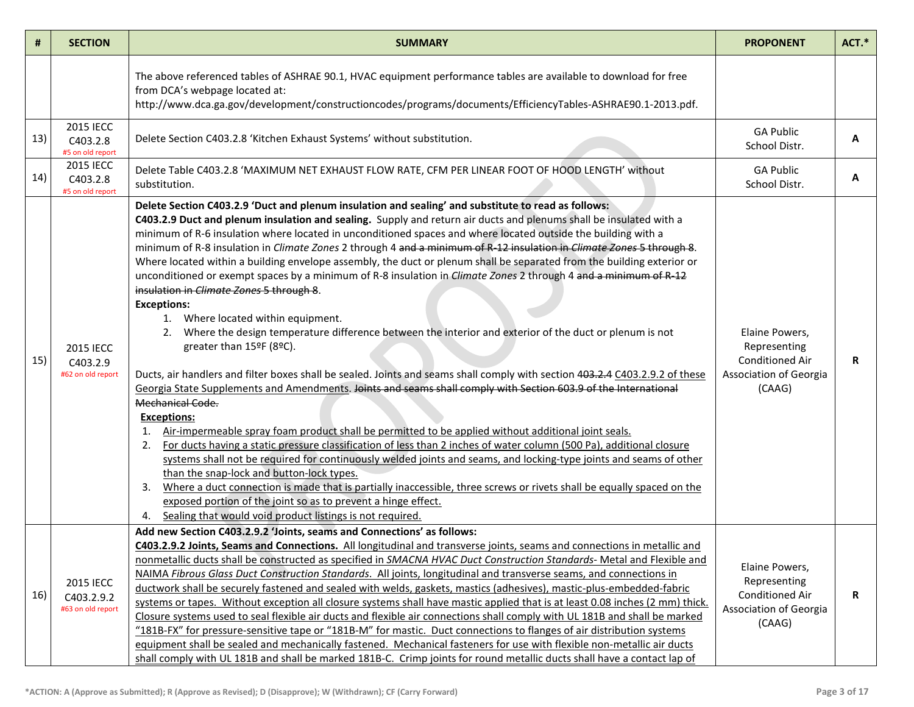| #   | <b>SECTION</b>                                      | <b>SUMMARY</b>                                                                                                                                                                                                                                                                                                                                                                                                                                                                                                                                                                                                                                                                                                                                                                                                                                                                                                                                                                                                                                                                                                                                                                                                                                                                                                                                                                                                                                                                                                                                                                                                                                                                                                                                                                                                                                                                                                                                          | <b>PROPONENT</b>                                                                             | ACT.* |
|-----|-----------------------------------------------------|---------------------------------------------------------------------------------------------------------------------------------------------------------------------------------------------------------------------------------------------------------------------------------------------------------------------------------------------------------------------------------------------------------------------------------------------------------------------------------------------------------------------------------------------------------------------------------------------------------------------------------------------------------------------------------------------------------------------------------------------------------------------------------------------------------------------------------------------------------------------------------------------------------------------------------------------------------------------------------------------------------------------------------------------------------------------------------------------------------------------------------------------------------------------------------------------------------------------------------------------------------------------------------------------------------------------------------------------------------------------------------------------------------------------------------------------------------------------------------------------------------------------------------------------------------------------------------------------------------------------------------------------------------------------------------------------------------------------------------------------------------------------------------------------------------------------------------------------------------------------------------------------------------------------------------------------------------|----------------------------------------------------------------------------------------------|-------|
|     |                                                     | The above referenced tables of ASHRAE 90.1, HVAC equipment performance tables are available to download for free<br>from DCA's webpage located at:<br>http://www.dca.ga.gov/development/constructioncodes/programs/documents/EfficiencyTables-ASHRAE90.1-2013.pdf.                                                                                                                                                                                                                                                                                                                                                                                                                                                                                                                                                                                                                                                                                                                                                                                                                                                                                                                                                                                                                                                                                                                                                                                                                                                                                                                                                                                                                                                                                                                                                                                                                                                                                      |                                                                                              |       |
| 13) | <b>2015 IECC</b><br>C403.2.8<br>#5 on old report    | Delete Section C403.2.8 'Kitchen Exhaust Systems' without substitution.                                                                                                                                                                                                                                                                                                                                                                                                                                                                                                                                                                                                                                                                                                                                                                                                                                                                                                                                                                                                                                                                                                                                                                                                                                                                                                                                                                                                                                                                                                                                                                                                                                                                                                                                                                                                                                                                                 | <b>GA Public</b><br>School Distr.                                                            | A     |
| 14) | <b>2015 IECC</b><br>C403.2.8<br>#5 on old report    | Delete Table C403.2.8 'MAXIMUM NET EXHAUST FLOW RATE, CFM PER LINEAR FOOT OF HOOD LENGTH' without<br>substitution.                                                                                                                                                                                                                                                                                                                                                                                                                                                                                                                                                                                                                                                                                                                                                                                                                                                                                                                                                                                                                                                                                                                                                                                                                                                                                                                                                                                                                                                                                                                                                                                                                                                                                                                                                                                                                                      | <b>GA Public</b><br>School Distr.                                                            | A     |
| 15) | <b>2015 IECC</b><br>C403.2.9<br>#62 on old report   | Delete Section C403.2.9 'Duct and plenum insulation and sealing' and substitute to read as follows:<br>C403.2.9 Duct and plenum insulation and sealing. Supply and return air ducts and plenums shall be insulated with a<br>minimum of R-6 insulation where located in unconditioned spaces and where located outside the building with a<br>minimum of R-8 insulation in Climate Zones 2 through 4 and a minimum of R-12 insulation in Climate Zones 5 through 8.<br>Where located within a building envelope assembly, the duct or plenum shall be separated from the building exterior or<br>unconditioned or exempt spaces by a minimum of R-8 insulation in Climate Zones 2 through 4 and a minimum of R-12<br>insulation in Climate Zones 5 through 8.<br><b>Exceptions:</b><br>1. Where located within equipment.<br>2. Where the design temperature difference between the interior and exterior of the duct or plenum is not<br>greater than 15°F (8°C).<br>Ducts, air handlers and filter boxes shall be sealed. Joints and seams shall comply with section 403.2.4 C403.2.9.2 of these<br>Georgia State Supplements and Amendments. Joints and seams shall comply with Section 603.9 of the International<br><b>Mechanical Code.</b><br><b>Exceptions:</b><br>Air-impermeable spray foam product shall be permitted to be applied without additional joint seals.<br>1.<br>For ducts having a static pressure classification of less than 2 inches of water column (500 Pa), additional closure<br>2.<br>systems shall not be required for continuously welded joints and seams, and locking-type joints and seams of other<br>than the snap-lock and button-lock types.<br>Where a duct connection is made that is partially inaccessible, three screws or rivets shall be equally spaced on the<br>3.<br>exposed portion of the joint so as to prevent a hinge effect.<br>Sealing that would void product listings is not required.<br>4. | Elaine Powers,<br>Representing<br><b>Conditioned Air</b><br>Association of Georgia<br>(CAAG) | R     |
| 16) | <b>2015 IECC</b><br>C403.2.9.2<br>#63 on old report | Add new Section C403.2.9.2 'Joints, seams and Connections' as follows:<br>C403.2.9.2 Joints, Seams and Connections. All longitudinal and transverse joints, seams and connections in metallic and<br>nonmetallic ducts shall be constructed as specified in SMACNA HVAC Duct Construction Standards- Metal and Flexible and<br>NAIMA Fibrous Glass Duct Construction Standards. All joints, longitudinal and transverse seams, and connections in<br>ductwork shall be securely fastened and sealed with welds, gaskets, mastics (adhesives), mastic-plus-embedded-fabric<br>systems or tapes. Without exception all closure systems shall have mastic applied that is at least 0.08 inches (2 mm) thick.<br>Closure systems used to seal flexible air ducts and flexible air connections shall comply with UL 181B and shall be marked<br>"181B-FX" for pressure-sensitive tape or "181B-M" for mastic. Duct connections to flanges of air distribution systems<br>equipment shall be sealed and mechanically fastened. Mechanical fasteners for use with flexible non-metallic air ducts<br>shall comply with UL 181B and shall be marked 181B-C. Crimp joints for round metallic ducts shall have a contact lap of                                                                                                                                                                                                                                                                                                                                                                                                                                                                                                                                                                                                                                                                                                                                   | Elaine Powers,<br>Representing<br><b>Conditioned Air</b><br>Association of Georgia<br>(CAAG) | R     |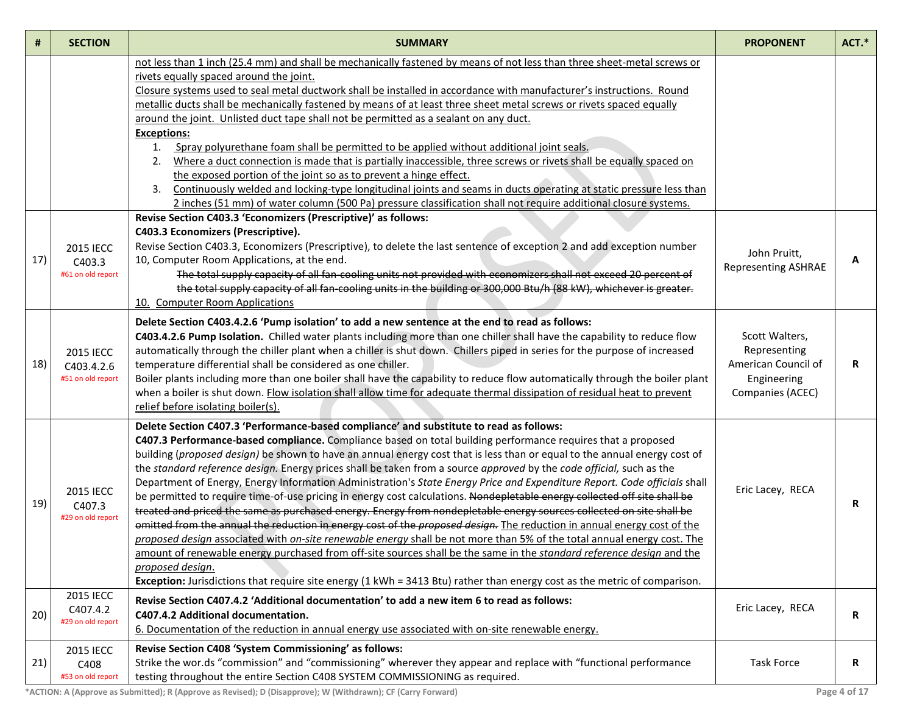| #   | <b>SECTION</b>                                      | <b>SUMMARY</b>                                                                                                                                                                                                                                                                                                                                                                                                                                                                                                                                                                                                                                                                                                                                                                                                                                                                                                                                                                                                                                                                                                                                                                                                                                                                                                                                                                 | <b>PROPONENT</b>                                                                         | ACT.* |
|-----|-----------------------------------------------------|--------------------------------------------------------------------------------------------------------------------------------------------------------------------------------------------------------------------------------------------------------------------------------------------------------------------------------------------------------------------------------------------------------------------------------------------------------------------------------------------------------------------------------------------------------------------------------------------------------------------------------------------------------------------------------------------------------------------------------------------------------------------------------------------------------------------------------------------------------------------------------------------------------------------------------------------------------------------------------------------------------------------------------------------------------------------------------------------------------------------------------------------------------------------------------------------------------------------------------------------------------------------------------------------------------------------------------------------------------------------------------|------------------------------------------------------------------------------------------|-------|
|     |                                                     | not less than 1 inch (25.4 mm) and shall be mechanically fastened by means of not less than three sheet-metal screws or<br>rivets equally spaced around the joint.<br>Closure systems used to seal metal ductwork shall be installed in accordance with manufacturer's instructions. Round<br>metallic ducts shall be mechanically fastened by means of at least three sheet metal screws or rivets spaced equally<br>around the joint. Unlisted duct tape shall not be permitted as a sealant on any duct.<br><b>Exceptions:</b><br>Spray polyurethane foam shall be permitted to be applied without additional joint seals.<br>1.<br>Where a duct connection is made that is partially inaccessible, three screws or rivets shall be equally spaced on<br>2.<br>the exposed portion of the joint so as to prevent a hinge effect.<br>Continuously welded and locking-type longitudinal joints and seams in ducts operating at static pressure less than<br>3.<br>2 inches (51 mm) of water column (500 Pa) pressure classification shall not require additional closure systems.                                                                                                                                                                                                                                                                                             |                                                                                          |       |
| 17) | <b>2015 IECC</b><br>C403.3<br>#61 on old report     | Revise Section C403.3 'Economizers (Prescriptive)' as follows:<br>C403.3 Economizers (Prescriptive).<br>Revise Section C403.3, Economizers (Prescriptive), to delete the last sentence of exception 2 and add exception number<br>10, Computer Room Applications, at the end.<br>The total supply capacity of all fan-cooling units not provided with economizers shall not exceed 20 percent of<br>the total supply capacity of all fan-cooling units in the building or 300,000 Btu/h (88 kW), whichever is greater.<br>10. Computer Room Applications                                                                                                                                                                                                                                                                                                                                                                                                                                                                                                                                                                                                                                                                                                                                                                                                                       | John Pruitt,<br><b>Representing ASHRAE</b>                                               | А     |
| 18) | <b>2015 IECC</b><br>C403.4.2.6<br>#51 on old report | Delete Section C403.4.2.6 'Pump isolation' to add a new sentence at the end to read as follows:<br>C403.4.2.6 Pump Isolation. Chilled water plants including more than one chiller shall have the capability to reduce flow<br>automatically through the chiller plant when a chiller is shut down. Chillers piped in series for the purpose of increased<br>temperature differential shall be considered as one chiller.<br>Boiler plants including more than one boiler shall have the capability to reduce flow automatically through the boiler plant<br>when a boiler is shut down. Flow isolation shall allow time for adequate thermal dissipation of residual heat to prevent<br>relief before isolating boiler(s).                                                                                                                                                                                                                                                                                                                                                                                                                                                                                                                                                                                                                                                    | Scott Walters,<br>Representing<br>American Council of<br>Engineering<br>Companies (ACEC) | R     |
| 19) | <b>2015 IECC</b><br>C407.3<br>#29 on old report     | Delete Section C407.3 'Performance-based compliance' and substitute to read as follows:<br>C407.3 Performance-based compliance. Compliance based on total building performance requires that a proposed<br>building (proposed design) be shown to have an annual energy cost that is less than or equal to the annual energy cost of<br>the standard reference design. Energy prices shall be taken from a source approved by the code official, such as the<br>Department of Energy, Energy Information Administration's State Energy Price and Expenditure Report. Code officials shall<br>be permitted to require time-of-use pricing in energy cost calculations. Nondepletable energy collected off site shall be<br>treated and priced the same as purchased energy. Energy from nondepletable energy sources collected on site shall be<br>omitted from the annual the reduction in energy cost of the proposed design. The reduction in annual energy cost of the<br>proposed design associated with on-site renewable energy shall be not more than 5% of the total annual energy cost. The<br>amount of renewable energy purchased from off-site sources shall be the same in the standard reference design and the<br>proposed design.<br>Exception: Jurisdictions that require site energy (1 kWh = 3413 Btu) rather than energy cost as the metric of comparison. | Eric Lacey, RECA                                                                         | R     |
| 20) | <b>2015 IECC</b><br>C407.4.2<br>#29 on old report   | Revise Section C407.4.2 'Additional documentation' to add a new item 6 to read as follows:<br>C407.4.2 Additional documentation.<br>6. Documentation of the reduction in annual energy use associated with on-site renewable energy.                                                                                                                                                                                                                                                                                                                                                                                                                                                                                                                                                                                                                                                                                                                                                                                                                                                                                                                                                                                                                                                                                                                                           | Eric Lacey, RECA                                                                         | R     |
| 21) | <b>2015 IECC</b><br>C408<br>#53 on old report       | Revise Section C408 'System Commissioning' as follows:<br>Strike the wor.ds "commission" and "commissioning" wherever they appear and replace with "functional performance<br>testing throughout the entire Section C408 SYSTEM COMMISSIONING as required.                                                                                                                                                                                                                                                                                                                                                                                                                                                                                                                                                                                                                                                                                                                                                                                                                                                                                                                                                                                                                                                                                                                     | <b>Task Force</b>                                                                        | R     |

**\*ACTION: A (Approve as Submitted); R (Approve as Revised); D (Disapprove); W (Withdrawn); CF (Carry Forward) Page 4 of 17**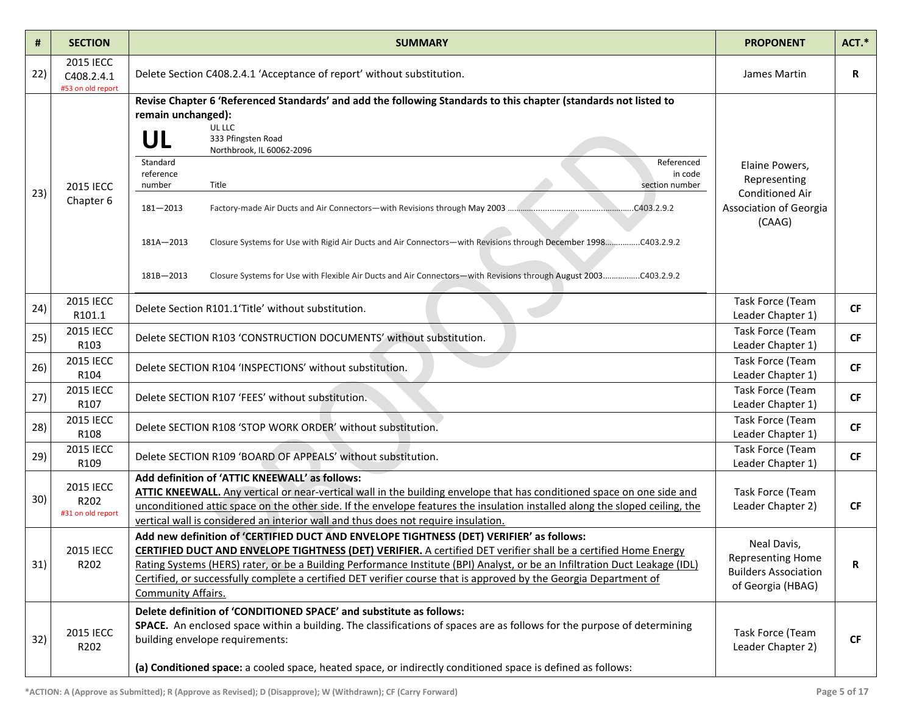| #   | <b>SECTION</b>                               | <b>SUMMARY</b>                                                                                                                                                                                                                                                                                                                                                                                                                                                                                                                                                                                    | <b>PROPONENT</b>                                                                             | ACT.*     |
|-----|----------------------------------------------|---------------------------------------------------------------------------------------------------------------------------------------------------------------------------------------------------------------------------------------------------------------------------------------------------------------------------------------------------------------------------------------------------------------------------------------------------------------------------------------------------------------------------------------------------------------------------------------------------|----------------------------------------------------------------------------------------------|-----------|
| 22) | 2015 IECC<br>C408.2.4.1<br>#53 on old report | Delete Section C408.2.4.1 'Acceptance of report' without substitution.                                                                                                                                                                                                                                                                                                                                                                                                                                                                                                                            | James Martin                                                                                 | R         |
| 23) | 2015 IECC<br>Chapter 6                       | Revise Chapter 6 'Referenced Standards' and add the following Standards to this chapter (standards not listed to<br>remain unchanged):<br>UL LLC<br>UL<br>333 Pfingsten Road<br>Northbrook, IL 60062-2096<br>Standard<br>Referenced<br>reference<br>in code<br>number<br>Title<br>section number<br>$181 - 2013$<br>C403.2.9.2<br>Closure Systems for Use with Rigid Air Ducts and Air Connectors-with Revisions through December 1998C403.2.9.2<br>181A-2013<br>Closure Systems for Use with Flexible Air Ducts and Air Connectors-with Revisions through August 2003C403.2.9.2<br>$181B - 2013$ | Elaine Powers,<br>Representing<br><b>Conditioned Air</b><br>Association of Georgia<br>(CAAG) |           |
| 24) | 2015 IECC<br>R101.1                          | Delete Section R101.1'Title' without substitution.                                                                                                                                                                                                                                                                                                                                                                                                                                                                                                                                                | Task Force (Team<br>Leader Chapter 1)                                                        | <b>CF</b> |
| 25) | 2015 IECC<br>R103                            | Delete SECTION R103 'CONSTRUCTION DOCUMENTS' without substitution.                                                                                                                                                                                                                                                                                                                                                                                                                                                                                                                                | Task Force (Team<br>Leader Chapter 1)                                                        | <b>CF</b> |
| 26) | 2015 IECC<br>R104                            | Delete SECTION R104 'INSPECTIONS' without substitution.                                                                                                                                                                                                                                                                                                                                                                                                                                                                                                                                           | Task Force (Team<br>Leader Chapter 1)                                                        | <b>CF</b> |
| 27) | 2015 IECC<br>R107                            | Delete SECTION R107 'FEES' without substitution.                                                                                                                                                                                                                                                                                                                                                                                                                                                                                                                                                  | Task Force (Team<br>Leader Chapter 1)                                                        | <b>CF</b> |
| 28) | 2015 IECC<br>R108                            | Delete SECTION R108 'STOP WORK ORDER' without substitution.                                                                                                                                                                                                                                                                                                                                                                                                                                                                                                                                       | Task Force (Team<br>Leader Chapter 1)                                                        | <b>CF</b> |
| 29) | 2015 IECC<br>R109                            | Delete SECTION R109 'BOARD OF APPEALS' without substitution.                                                                                                                                                                                                                                                                                                                                                                                                                                                                                                                                      | Task Force (Team<br>Leader Chapter 1)                                                        | <b>CF</b> |
| 30) | 2015 IECC<br>R202<br>#31 on old report       | Add definition of 'ATTIC KNEEWALL' as follows:<br>ATTIC KNEEWALL. Any vertical or near-vertical wall in the building envelope that has conditioned space on one side and<br>unconditioned attic space on the other side. If the envelope features the insulation installed along the sloped ceiling, the<br>vertical wall is considered an interior wall and thus does not require insulation.                                                                                                                                                                                                    | Task Force (Team<br>Leader Chapter 2)                                                        | <b>CF</b> |
| 31) | <b>2015 IECC</b><br>R202                     | Add new definition of 'CERTIFIED DUCT AND ENVELOPE TIGHTNESS (DET) VERIFIER' as follows:<br><b>CERTIFIED DUCT AND ENVELOPE TIGHTNESS (DET) VERIFIER.</b> A certified DET verifier shall be a certified Home Energy<br>Rating Systems (HERS) rater, or be a Building Performance Institute (BPI) Analyst, or be an Infiltration Duct Leakage (IDL)<br>Certified, or successfully complete a certified DET verifier course that is approved by the Georgia Department of<br>Community Affairs.                                                                                                      | Neal Davis,<br>Representing Home<br><b>Builders Association</b><br>of Georgia (HBAG)         | R         |
| 32) | <b>2015 IECC</b><br>R202                     | Delete definition of 'CONDITIONED SPACE' and substitute as follows:<br>SPACE. An enclosed space within a building. The classifications of spaces are as follows for the purpose of determining<br>building envelope requirements:<br>(a) Conditioned space: a cooled space, heated space, or indirectly conditioned space is defined as follows:                                                                                                                                                                                                                                                  | Task Force (Team<br>Leader Chapter 2)                                                        | <b>CF</b> |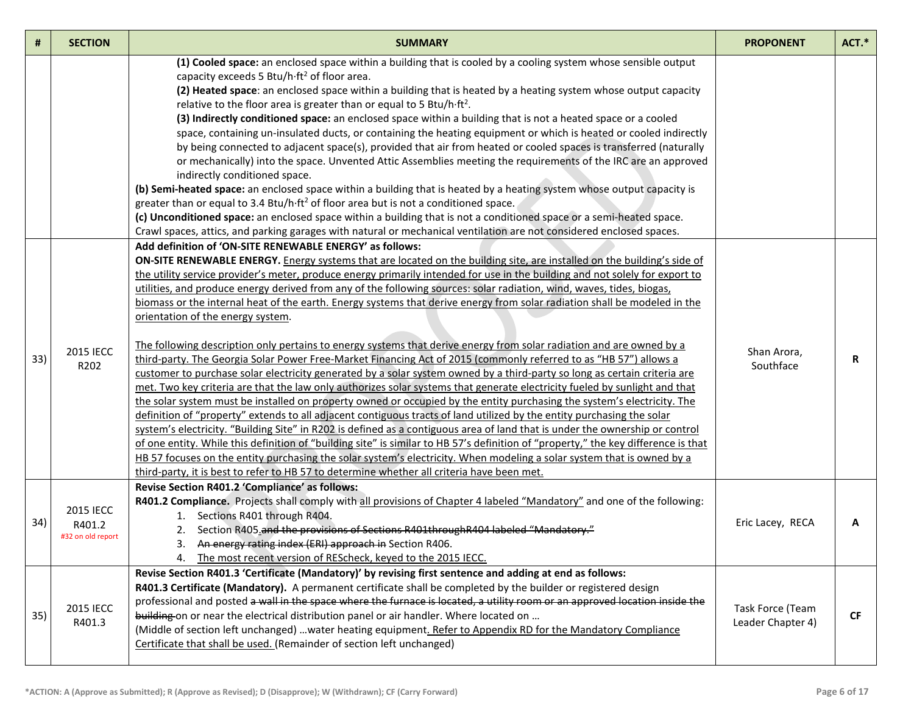| #   | <b>SECTION</b>                                  | <b>SUMMARY</b>                                                                                                                                                                                                                                                                                                                                                                                                                                                                                                                                                                                                                                                                                                                                                                                                                                                                                                                                                                                                                                                                                                                                                                                                                                                                                                                                                                                                                                                                                                                                                                                                                                                                                                                                                                                                                                                            | <b>PROPONENT</b>                      | ACT.* |
|-----|-------------------------------------------------|---------------------------------------------------------------------------------------------------------------------------------------------------------------------------------------------------------------------------------------------------------------------------------------------------------------------------------------------------------------------------------------------------------------------------------------------------------------------------------------------------------------------------------------------------------------------------------------------------------------------------------------------------------------------------------------------------------------------------------------------------------------------------------------------------------------------------------------------------------------------------------------------------------------------------------------------------------------------------------------------------------------------------------------------------------------------------------------------------------------------------------------------------------------------------------------------------------------------------------------------------------------------------------------------------------------------------------------------------------------------------------------------------------------------------------------------------------------------------------------------------------------------------------------------------------------------------------------------------------------------------------------------------------------------------------------------------------------------------------------------------------------------------------------------------------------------------------------------------------------------------|---------------------------------------|-------|
|     |                                                 | (1) Cooled space: an enclosed space within a building that is cooled by a cooling system whose sensible output<br>capacity exceeds 5 Btu/h·ft <sup>2</sup> of floor area.<br>(2) Heated space: an enclosed space within a building that is heated by a heating system whose output capacity<br>relative to the floor area is greater than or equal to 5 Btu/h·ft <sup>2</sup> .<br>(3) Indirectly conditioned space: an enclosed space within a building that is not a heated space or a cooled<br>space, containing un-insulated ducts, or containing the heating equipment or which is heated or cooled indirectly<br>by being connected to adjacent space(s), provided that air from heated or cooled spaces is transferred (naturally<br>or mechanically) into the space. Unvented Attic Assemblies meeting the requirements of the IRC are an approved<br>indirectly conditioned space.<br>(b) Semi-heated space: an enclosed space within a building that is heated by a heating system whose output capacity is<br>greater than or equal to 3.4 Btu/h·ft <sup>2</sup> of floor area but is not a conditioned space.<br>(c) Unconditioned space: an enclosed space within a building that is not a conditioned space or a semi-heated space.<br>Crawl spaces, attics, and parking garages with natural or mechanical ventilation are not considered enclosed spaces.                                                                                                                                                                                                                                                                                                                                                                                                                                                                                                |                                       |       |
| 33) | <b>2015 IECC</b><br>R202                        | Add definition of 'ON-SITE RENEWABLE ENERGY' as follows:<br>ON-SITE RENEWABLE ENERGY. Energy systems that are located on the building site, are installed on the building's side of<br>the utility service provider's meter, produce energy primarily intended for use in the building and not solely for export to<br>utilities, and produce energy derived from any of the following sources: solar radiation, wind, waves, tides, biogas,<br>biomass or the internal heat of the earth. Energy systems that derive energy from solar radiation shall be modeled in the<br>orientation of the energy system.<br>The following description only pertains to energy systems that derive energy from solar radiation and are owned by a<br>third-party. The Georgia Solar Power Free-Market Financing Act of 2015 (commonly referred to as "HB 57") allows a<br>customer to purchase solar electricity generated by a solar system owned by a third-party so long as certain criteria are<br>met. Two key criteria are that the law only authorizes solar systems that generate electricity fueled by sunlight and that<br>the solar system must be installed on property owned or occupied by the entity purchasing the system's electricity. The<br>definition of "property" extends to all adjacent contiguous tracts of land utilized by the entity purchasing the solar<br>system's electricity. "Building Site" in R202 is defined as a contiguous area of land that is under the ownership or control<br>of one entity. While this definition of "building site" is similar to HB 57's definition of "property," the key difference is that<br>HB 57 focuses on the entity purchasing the solar system's electricity. When modeling a solar system that is owned by a<br>third-party, it is best to refer to HB 57 to determine whether all criteria have been met. | Shan Arora,<br>Southface              | R     |
| 34) | <b>2015 IECC</b><br>R401.2<br>#32 on old report | Revise Section R401.2 'Compliance' as follows:<br>R401.2 Compliance. Projects shall comply with all provisions of Chapter 4 labeled "Mandatory" and one of the following:<br>1. Sections R401 through R404.<br>2. Section R405 and the provisions of Sections R401 through R404 labeled "Mandatory."<br>3. An energy rating index (ERI) approach in Section R406.<br>4. The most recent version of REScheck, keyed to the 2015 IECC.                                                                                                                                                                                                                                                                                                                                                                                                                                                                                                                                                                                                                                                                                                                                                                                                                                                                                                                                                                                                                                                                                                                                                                                                                                                                                                                                                                                                                                      | Eric Lacey, RECA                      | А     |
| 35) | <b>2015 IECC</b><br>R401.3                      | Revise Section R401.3 'Certificate (Mandatory)' by revising first sentence and adding at end as follows:<br>R401.3 Certificate (Mandatory). A permanent certificate shall be completed by the builder or registered design<br>professional and posted a wall in the space where the furnace is located, a utility room or an approved location inside the<br>building on or near the electrical distribution panel or air handler. Where located on<br>(Middle of section left unchanged) water heating equipment. Refer to Appendix RD for the Mandatory Compliance<br>Certificate that shall be used. (Remainder of section left unchanged)                                                                                                                                                                                                                                                                                                                                                                                                                                                                                                                                                                                                                                                                                                                                                                                                                                                                                                                                                                                                                                                                                                                                                                                                                             | Task Force (Team<br>Leader Chapter 4) | CF    |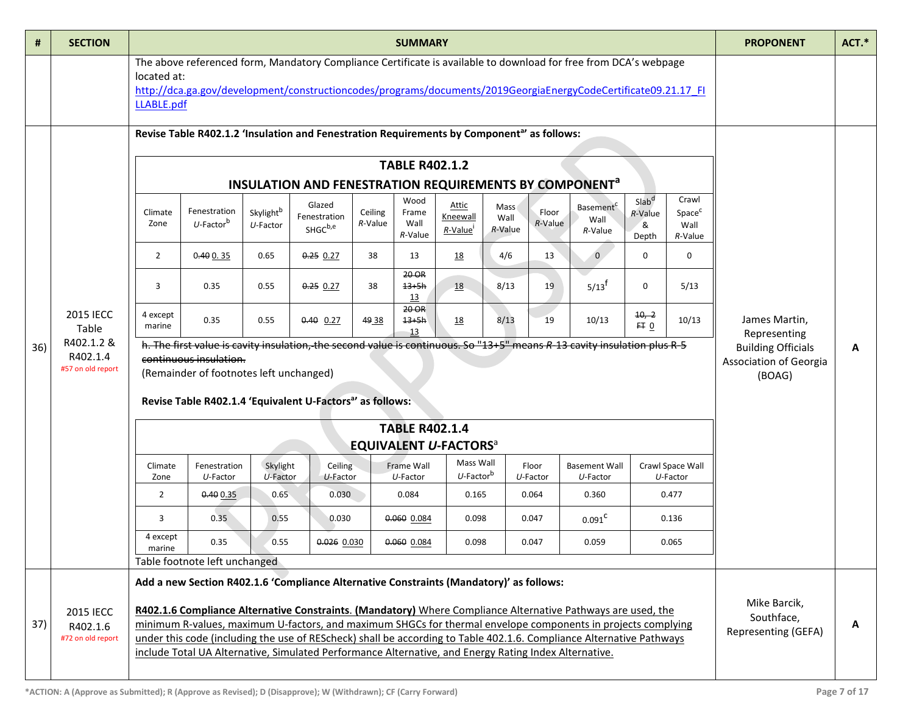| #   | <b>SECTION</b>                                    | <b>SUMMARY</b>                                                                                                                                                                                                                                                  |                                                                                                                                                                                                                                                                                                                                                                                                                                                               |                          |                                                                    |                    |                                  |                                          |                         | <b>PROPONENT</b>     | ACT.*                                    |                                            |                                                |                                                               |   |
|-----|---------------------------------------------------|-----------------------------------------------------------------------------------------------------------------------------------------------------------------------------------------------------------------------------------------------------------------|---------------------------------------------------------------------------------------------------------------------------------------------------------------------------------------------------------------------------------------------------------------------------------------------------------------------------------------------------------------------------------------------------------------------------------------------------------------|--------------------------|--------------------------------------------------------------------|--------------------|----------------------------------|------------------------------------------|-------------------------|----------------------|------------------------------------------|--------------------------------------------|------------------------------------------------|---------------------------------------------------------------|---|
|     |                                                   | The above referenced form, Mandatory Compliance Certificate is available to download for free from DCA's webpage<br>located at:<br>http://dca.ga.gov/development/constructioncodes/programs/documents/2019GeorgiaEnergyCodeCertificate09.21.17 FI<br>LLABLE.pdf |                                                                                                                                                                                                                                                                                                                                                                                                                                                               |                          |                                                                    |                    |                                  |                                          |                         |                      |                                          |                                            |                                                |                                                               |   |
|     |                                                   |                                                                                                                                                                                                                                                                 | Revise Table R402.1.2 'Insulation and Fenestration Requirements by Component <sup>a</sup> ' as follows:                                                                                                                                                                                                                                                                                                                                                       |                          |                                                                    |                    |                                  |                                          |                         |                      |                                          |                                            |                                                |                                                               |   |
|     |                                                   |                                                                                                                                                                                                                                                                 |                                                                                                                                                                                                                                                                                                                                                                                                                                                               |                          | INSULATION AND FENESTRATION REQUIREMENTS BY COMPONENT <sup>a</sup> |                    | <b>TABLE R402.1.2</b>            |                                          |                         |                      |                                          |                                            |                                                |                                                               |   |
|     |                                                   | Climate<br>Zone                                                                                                                                                                                                                                                 | Fenestration<br>$U$ -Factor <sup>b</sup>                                                                                                                                                                                                                                                                                                                                                                                                                      | Skylightb<br>$U$ -Factor | Glazed<br>Fenestration<br>SHGC <sup>b,e</sup>                      | Ceiling<br>R-Value | Wood<br>Frame<br>Wall<br>R-Value | Attic<br>Kneewall<br>R-Value             | Mass<br>Wall<br>R-Value | Floor<br>R-Value     | Basement <sup>c</sup><br>Wall<br>R-Value | Slab <sup>d</sup><br>R-Value<br>&<br>Depth | Crawl<br>Space <sup>c</sup><br>Wall<br>R-Value |                                                               |   |
|     |                                                   | $\overline{2}$                                                                                                                                                                                                                                                  | 0.400.35                                                                                                                                                                                                                                                                                                                                                                                                                                                      | 0.65                     | $0.25$ 0.27                                                        | 38                 | 13                               | <u>18</u>                                | 4/6                     | 13                   | $\overline{0}$                           | 0                                          | $\mathbf 0$                                    |                                                               |   |
|     |                                                   | 3                                                                                                                                                                                                                                                               | 0.35                                                                                                                                                                                                                                                                                                                                                                                                                                                          | 0.55                     | $0.25$ 0.27                                                        | 38                 | 20 OR<br>$13 + 5h$<br>13         | <b>18</b>                                | 8/13                    | 19                   | $5/13^{f}$                               | $\mathbf 0$                                | 5/13                                           |                                                               |   |
|     | <b>2015 IECC</b><br>Table                         | 4 except<br>marine                                                                                                                                                                                                                                              | 0.35                                                                                                                                                                                                                                                                                                                                                                                                                                                          | 0.55                     | $0.40$ 0.27                                                        | 49 38              | 20 OR<br>$13 + 5h$<br>13         | <u>18</u>                                | 8/13                    | 19                   | 10/13                                    | $10, -2$<br>FT 0                           | 10/13                                          | James Martin,<br>Representing                                 |   |
| 36) | R402.1.2 &<br>R402.1.4<br>#57 on old report       |                                                                                                                                                                                                                                                                 | h. The first value is cavity insulation, the second value is continuous. So "13+5" means R-13 cavity insulation plus R-5<br>continuous insulation.<br>(Remainder of footnotes left unchanged)<br>Revise Table R402.1.4 'Equivalent U-Factors <sup>a</sup> ' as follows:                                                                                                                                                                                       |                          |                                                                    |                    |                                  |                                          |                         |                      |                                          |                                            |                                                | <b>Building Officials</b><br>Association of Georgia<br>(BOAG) | Α |
|     |                                                   | <b>TABLE R402.1.4</b>                                                                                                                                                                                                                                           |                                                                                                                                                                                                                                                                                                                                                                                                                                                               |                          |                                                                    |                    |                                  |                                          |                         |                      |                                          |                                            |                                                |                                                               |   |
|     |                                                   |                                                                                                                                                                                                                                                                 |                                                                                                                                                                                                                                                                                                                                                                                                                                                               |                          |                                                                    |                    |                                  | <b>EQUIVALENT U-FACTORS</b> <sup>a</sup> |                         |                      |                                          |                                            |                                                |                                                               |   |
|     |                                                   | Climate<br>Zone                                                                                                                                                                                                                                                 | Fenestration<br>U-Factor                                                                                                                                                                                                                                                                                                                                                                                                                                      | Skylight<br>$U$ -Factor  | Ceiling<br>U-Factor                                                |                    | Frame Wall<br>$U$ -Factor        | Mass Wall<br>$U$ -Factor $^{\rm b}$      |                         | Floor<br>$U$ -Factor | <b>Basement Wall</b><br>U-Factor         |                                            | Crawl Space Wall<br>$U$ -Factor                |                                                               |   |
|     |                                                   | $\overline{2}$                                                                                                                                                                                                                                                  | 0.400.35                                                                                                                                                                                                                                                                                                                                                                                                                                                      | 0.65                     | 0.030                                                              |                    | 0.084                            | 0.165                                    |                         | 0.064                | 0.360                                    |                                            | 0.477                                          |                                                               |   |
|     |                                                   | 3                                                                                                                                                                                                                                                               | 0.35                                                                                                                                                                                                                                                                                                                                                                                                                                                          | 0.55                     | 0.030                                                              |                    | 0.060 0.084                      | 0.098                                    |                         | 0.047                | 0.091 <sup>C</sup>                       |                                            | 0.136                                          |                                                               |   |
|     |                                                   | 4 except<br>marine                                                                                                                                                                                                                                              | 0.35                                                                                                                                                                                                                                                                                                                                                                                                                                                          | 0.55                     | 0.026 0.030                                                        |                    | 0.060 0.084                      | 0.098                                    |                         | 0.047                | 0.059                                    |                                            | 0.065                                          |                                                               |   |
|     |                                                   |                                                                                                                                                                                                                                                                 | Table footnote left unchanged                                                                                                                                                                                                                                                                                                                                                                                                                                 |                          |                                                                    |                    |                                  |                                          |                         |                      |                                          |                                            |                                                |                                                               |   |
|     |                                                   |                                                                                                                                                                                                                                                                 | Add a new Section R402.1.6 'Compliance Alternative Constraints (Mandatory)' as follows:                                                                                                                                                                                                                                                                                                                                                                       |                          |                                                                    |                    |                                  |                                          |                         |                      |                                          |                                            |                                                |                                                               |   |
| 37) | <b>2015 IECC</b><br>R402.1.6<br>#72 on old report |                                                                                                                                                                                                                                                                 | R402.1.6 Compliance Alternative Constraints. (Mandatory) Where Compliance Alternative Pathways are used, the<br>minimum R-values, maximum U-factors, and maximum SHGCs for thermal envelope components in projects complying<br>under this code (including the use of REScheck) shall be according to Table 402.1.6. Compliance Alternative Pathways<br>include Total UA Alternative, Simulated Performance Alternative, and Energy Rating Index Alternative. |                          |                                                                    |                    |                                  |                                          |                         |                      |                                          |                                            |                                                | Mike Barcik,<br>Southface,<br>Representing (GEFA)             | A |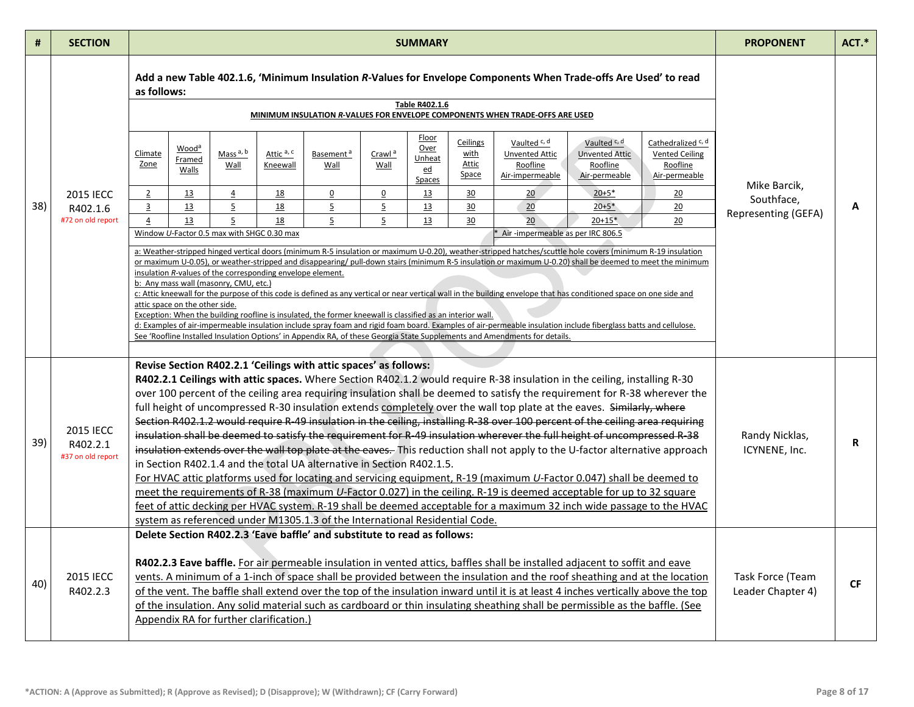| #   | <b>SECTION</b>                                    | <b>SUMMARY</b>                                                                                                                                                                                                                                                                                                                                                                                                                                                                                                                                                                                                                                                                                                                                                                                                                                                                                                                                                                                                                                                                                                                                                                                                                                                                                                                                                                    | <b>PROPONENT</b>                                  | $ACT.*$   |
|-----|---------------------------------------------------|-----------------------------------------------------------------------------------------------------------------------------------------------------------------------------------------------------------------------------------------------------------------------------------------------------------------------------------------------------------------------------------------------------------------------------------------------------------------------------------------------------------------------------------------------------------------------------------------------------------------------------------------------------------------------------------------------------------------------------------------------------------------------------------------------------------------------------------------------------------------------------------------------------------------------------------------------------------------------------------------------------------------------------------------------------------------------------------------------------------------------------------------------------------------------------------------------------------------------------------------------------------------------------------------------------------------------------------------------------------------------------------|---------------------------------------------------|-----------|
|     |                                                   | Add a new Table 402.1.6, 'Minimum Insulation R-Values for Envelope Components When Trade-offs Are Used' to read<br>as follows:<br>Table R402.1.6<br>MINIMUM INSULATION R-VALUES FOR ENVELOPE COMPONENTS WHEN TRADE-OFFS ARE USED                                                                                                                                                                                                                                                                                                                                                                                                                                                                                                                                                                                                                                                                                                                                                                                                                                                                                                                                                                                                                                                                                                                                                  |                                                   |           |
| 38) | <b>2015 IECC</b><br>R402.1.6<br>#72 on old report | Floor<br>Ceilings<br>Vaulted <sup>c, d</sup><br>Vaulted <sup>c, d</sup><br>Cathedralized <sup>c, d</sup><br>Over<br>Wood <sup>a</sup><br>Mass <sup>a, b</sup><br>Climate<br>Attic a, c<br>Crawl <sup>a</sup><br>with<br>Basement <sup>a</sup><br><b>Unvented Attic</b><br><b>Unvented Attic</b><br><b>Vented Ceiling</b><br>Unheat<br>Framed<br>Zone<br>Attic<br>Roofline<br>Roofline<br>Wall<br>Wall<br>Wall<br>Roofline<br><u>Kneewall</u><br><u>ed</u><br>Walls<br>Space<br>Air-impermeable<br>Air-permeable<br>Air-permeable<br><b>Spaces</b><br>$\overline{2}$<br><u>18</u><br>$\Omega$<br>$\Omega$<br>30<br>$20+5*$<br><u>13</u><br>$\overline{4}$<br><u>13</u><br>20<br>20<br>$\overline{5}$<br>$\overline{3}$<br>13<br>$\overline{5}$<br><u>18</u><br>$\overline{5}$<br>13<br>30<br>20<br>$20 + 5*$<br>$\underline{20}$<br>$\overline{5}$<br>13<br>18<br>$\overline{5}$<br>13<br>30<br>20<br>20<br>4<br>5<br>$20+15*$<br>Window U-Factor 0.5 max with SHGC 0.30 max<br>Air -impermeable as per IRC 806.5<br>a: Weather-stripped hinged vertical doors (minimum R-5 insulation or maximum U-0.20), weather-stripped hatches/scuttle hole covers (minimum R-19 insulation<br>or maximum U-0.05), or weather-stripped and disappearing/ pull-down stairs (minimum R-5 insulation or maximum U-0.20) shall be deemed to meet the minimum                                      | Mike Barcik,<br>Southface,<br>Representing (GEFA) | A         |
|     |                                                   | insulation R-values of the corresponding envelope element.<br>b: Any mass wall (masonry, CMU, etc.)<br>c: Attic kneewall for the purpose of this code is defined as any vertical or near vertical wall in the building envelope that has conditioned space on one side and<br>attic space on the other side.<br>Exception: When the building roofline is insulated, the former kneewall is classified as an interior wall.<br>d: Examples of air-impermeable insulation include spray foam and rigid foam board. Examples of air-permeable insulation include fiberglass batts and cellulose.<br>See 'Roofline Installed Insulation Options' in Appendix RA, of these Georgia State Supplements and Amendments for details.                                                                                                                                                                                                                                                                                                                                                                                                                                                                                                                                                                                                                                                       |                                                   |           |
| 39) | <b>2015 IECC</b><br>R402.2.1<br>#37 on old report | Revise Section R402.2.1 'Ceilings with attic spaces' as follows:<br>R402.2.1 Ceilings with attic spaces. Where Section R402.1.2 would require R-38 insulation in the ceiling, installing R-30<br>over 100 percent of the ceiling area requiring insulation shall be deemed to satisfy the requirement for R-38 wherever the<br>full height of uncompressed R-30 insulation extends completely over the wall top plate at the eaves. Similarly, where<br>Section R402.1.2 would require R-49 insulation in the ceiling, installing R-38 over 100 percent of the ceiling area requiring<br>insulation shall be deemed to satisfy the requirement for R-49 insulation wherever the full height of uncompressed R-38<br>insulation extends over the wall top plate at the eaves. This reduction shall not apply to the U-factor alternative approach<br>in Section R402.1.4 and the total UA alternative in Section R402.1.5.<br>For HVAC attic platforms used for locating and servicing equipment, R-19 (maximum U-Factor 0.047) shall be deemed to<br>meet the requirements of R-38 (maximum U-Factor 0.027) in the ceiling. R-19 is deemed acceptable for up to 32 square<br>feet of attic decking per HVAC system. R-19 shall be deemed acceptable for a maximum 32 inch wide passage to the HVAC<br>system as referenced under M1305.1.3 of the International Residential Code. | Randy Nicklas,<br>ICYNENE, Inc.                   | R         |
| 40) | 2015 IECC<br>R402.2.3                             | Delete Section R402.2.3 'Eave baffle' and substitute to read as follows:<br>R402.2.3 Eave baffle. For air permeable insulation in vented attics, baffles shall be installed adjacent to soffit and eave<br>vents. A minimum of a 1-inch of space shall be provided between the insulation and the roof sheathing and at the location<br>of the vent. The baffle shall extend over the top of the insulation inward until it is at least 4 inches vertically above the top<br>of the insulation. Any solid material such as cardboard or thin insulating sheathing shall be permissible as the baffle. (See<br>Appendix RA for further clarification.)                                                                                                                                                                                                                                                                                                                                                                                                                                                                                                                                                                                                                                                                                                                             | Task Force (Team<br>Leader Chapter 4)             | <b>CF</b> |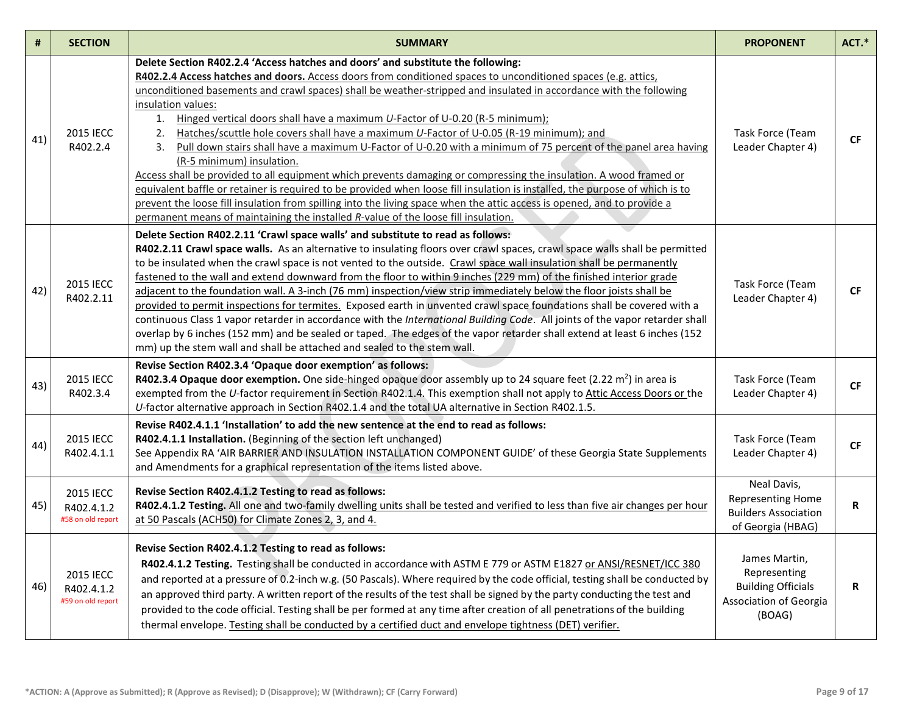| #   | <b>SECTION</b>                               | <b>SUMMARY</b>                                                                                                                                                                                                                                                                                                                                                                                                                                                                                                                                                                                                                                                                                                                                                                                                                                                                                                                                                                                                                                                                                                                                               | <b>PROPONENT</b>                                                                               | ACT.*        |
|-----|----------------------------------------------|--------------------------------------------------------------------------------------------------------------------------------------------------------------------------------------------------------------------------------------------------------------------------------------------------------------------------------------------------------------------------------------------------------------------------------------------------------------------------------------------------------------------------------------------------------------------------------------------------------------------------------------------------------------------------------------------------------------------------------------------------------------------------------------------------------------------------------------------------------------------------------------------------------------------------------------------------------------------------------------------------------------------------------------------------------------------------------------------------------------------------------------------------------------|------------------------------------------------------------------------------------------------|--------------|
| 41) | <b>2015 IECC</b><br>R402.2.4                 | Delete Section R402.2.4 'Access hatches and doors' and substitute the following:<br>R402.2.4 Access hatches and doors. Access doors from conditioned spaces to unconditioned spaces (e.g. attics,<br>unconditioned basements and crawl spaces) shall be weather-stripped and insulated in accordance with the following<br>insulation values:<br>1. Hinged vertical doors shall have a maximum U-Factor of U-0.20 (R-5 minimum);<br>2.<br>Hatches/scuttle hole covers shall have a maximum U-Factor of U-0.05 (R-19 minimum); and<br>Pull down stairs shall have a maximum U-Factor of U-0.20 with a minimum of 75 percent of the panel area having<br>3.<br>(R-5 minimum) insulation.<br>Access shall be provided to all equipment which prevents damaging or compressing the insulation. A wood framed or<br>equivalent baffle or retainer is required to be provided when loose fill insulation is installed, the purpose of which is to<br>prevent the loose fill insulation from spilling into the living space when the attic access is opened, and to provide a<br>permanent means of maintaining the installed R-value of the loose fill insulation. | Task Force (Team<br>Leader Chapter 4)                                                          | <b>CF</b>    |
| 42) | <b>2015 IECC</b><br>R402.2.11                | Delete Section R402.2.11 'Crawl space walls' and substitute to read as follows:<br>R402.2.11 Crawl space walls. As an alternative to insulating floors over crawl spaces, crawl space walls shall be permitted<br>to be insulated when the crawl space is not vented to the outside. Crawl space wall insulation shall be permanently<br>fastened to the wall and extend downward from the floor to within 9 inches (229 mm) of the finished interior grade<br>adjacent to the foundation wall. A 3-inch (76 mm) inspection/view strip immediately below the floor joists shall be<br>provided to permit inspections for termites. Exposed earth in unvented crawl space foundations shall be covered with a<br>continuous Class 1 vapor retarder in accordance with the International Building Code. All joints of the vapor retarder shall<br>overlap by 6 inches (152 mm) and be sealed or taped. The edges of the vapor retarder shall extend at least 6 inches (152<br>mm) up the stem wall and shall be attached and sealed to the stem wall.                                                                                                          | Task Force (Team<br>Leader Chapter 4)                                                          | <b>CF</b>    |
| 43) | <b>2015 IECC</b><br>R402.3.4                 | Revise Section R402.3.4 'Opaque door exemption' as follows:<br>R402.3.4 Opaque door exemption. One side-hinged opaque door assembly up to 24 square feet (2.22 $m^2$ ) in area is<br>exempted from the U-factor requirement in Section R402.1.4. This exemption shall not apply to Attic Access Doors or the<br>U-factor alternative approach in Section R402.1.4 and the total UA alternative in Section R402.1.5.                                                                                                                                                                                                                                                                                                                                                                                                                                                                                                                                                                                                                                                                                                                                          | Task Force (Team<br>Leader Chapter 4)                                                          | <b>CF</b>    |
| 44) | <b>2015 IECC</b><br>R402.4.1.1               | Revise R402.4.1.1 'Installation' to add the new sentence at the end to read as follows:<br>R402.4.1.1 Installation. (Beginning of the section left unchanged)<br>See Appendix RA 'AIR BARRIER AND INSULATION INSTALLATION COMPONENT GUIDE' of these Georgia State Supplements<br>and Amendments for a graphical representation of the items listed above.                                                                                                                                                                                                                                                                                                                                                                                                                                                                                                                                                                                                                                                                                                                                                                                                    | Task Force (Team<br>Leader Chapter 4)                                                          | CF           |
| 45) | 2015 IECC<br>R402.4.1.2<br>#58 on old report | Revise Section R402.4.1.2 Testing to read as follows:<br>R402.4.1.2 Testing. All one and two-family dwelling units shall be tested and verified to less than five air changes per hour<br>at 50 Pascals (ACH50) for Climate Zones 2, 3, and 4.                                                                                                                                                                                                                                                                                                                                                                                                                                                                                                                                                                                                                                                                                                                                                                                                                                                                                                               | Neal Davis,<br><b>Representing Home</b><br><b>Builders Association</b><br>of Georgia (HBAG)    | $\mathsf{R}$ |
| 46) | 2015 IECC<br>R402.4.1.2<br>#59 on old report | Revise Section R402.4.1.2 Testing to read as follows:<br>R402.4.1.2 Testing. Testing shall be conducted in accordance with ASTM E 779 or ASTM E1827 or ANSI/RESNET/ICC 380<br>and reported at a pressure of 0.2-inch w.g. (50 Pascals). Where required by the code official, testing shall be conducted by<br>an approved third party. A written report of the results of the test shall be signed by the party conducting the test and<br>provided to the code official. Testing shall be per formed at any time after creation of all penetrations of the building<br>thermal envelope. Testing shall be conducted by a certified duct and envelope tightness (DET) verifier.                                                                                                                                                                                                                                                                                                                                                                                                                                                                              | James Martin,<br>Representing<br><b>Building Officials</b><br>Association of Georgia<br>(BOAG) | R            |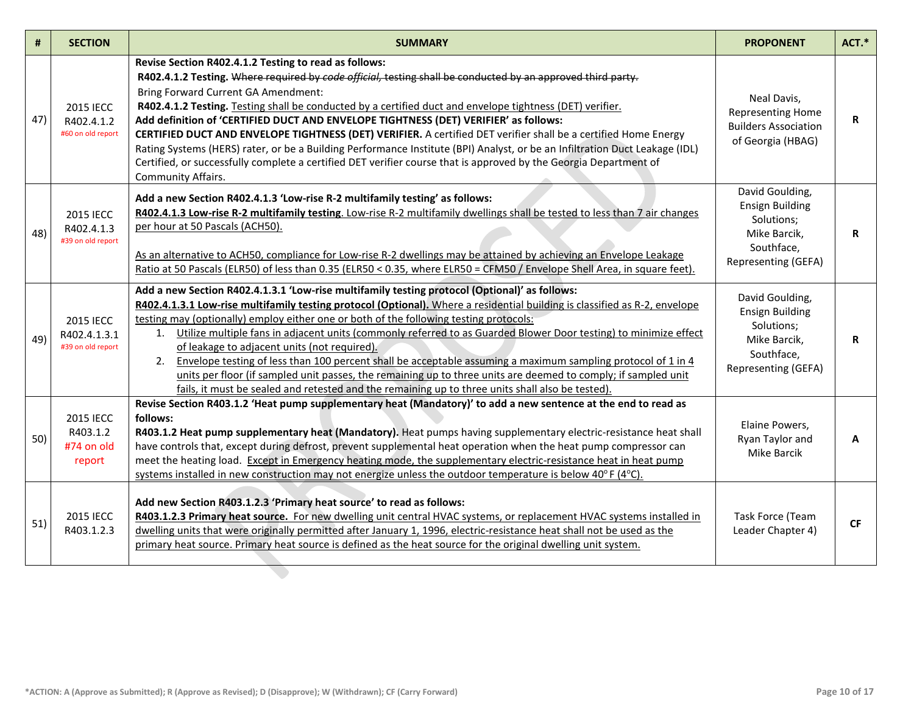| #   | <b>SECTION</b>                                      | <b>SUMMARY</b>                                                                                                                                                                                                                                                                                                                                                                                                                                                                                                                                                                                                                                                                                                                                                                                                                        | <b>PROPONENT</b>                                                                                             | ACT.*     |
|-----|-----------------------------------------------------|---------------------------------------------------------------------------------------------------------------------------------------------------------------------------------------------------------------------------------------------------------------------------------------------------------------------------------------------------------------------------------------------------------------------------------------------------------------------------------------------------------------------------------------------------------------------------------------------------------------------------------------------------------------------------------------------------------------------------------------------------------------------------------------------------------------------------------------|--------------------------------------------------------------------------------------------------------------|-----------|
| 47) | <b>2015 IECC</b><br>R402.4.1.2<br>#60 on old report | Revise Section R402.4.1.2 Testing to read as follows:<br>R402.4.1.2 Testing. Where required by code official, testing shall be conducted by an approved third party.<br>Bring Forward Current GA Amendment:<br>R402.4.1.2 Testing. Testing shall be conducted by a certified duct and envelope tightness (DET) verifier.<br>Add definition of 'CERTIFIED DUCT AND ENVELOPE TIGHTNESS (DET) VERIFIER' as follows:<br>CERTIFIED DUCT AND ENVELOPE TIGHTNESS (DET) VERIFIER. A certified DET verifier shall be a certified Home Energy<br>Rating Systems (HERS) rater, or be a Building Performance Institute (BPI) Analyst, or be an Infiltration Duct Leakage (IDL)<br>Certified, or successfully complete a certified DET verifier course that is approved by the Georgia Department of<br>Community Affairs.                         | Neal Davis,<br><b>Representing Home</b><br><b>Builders Association</b><br>of Georgia (HBAG)                  | R         |
| 48) | <b>2015 IECC</b><br>R402.4.1.3<br>#39 on old report | Add a new Section R402.4.1.3 'Low-rise R-2 multifamily testing' as follows:<br>R402.4.1.3 Low-rise R-2 multifamily testing. Low-rise R-2 multifamily dwellings shall be tested to less than 7 air changes<br>per hour at 50 Pascals (ACH50).<br>As an alternative to ACH50, compliance for Low-rise R-2 dwellings may be attained by achieving an Envelope Leakage<br>Ratio at 50 Pascals (ELR50) of less than 0.35 (ELR50 < 0.35, where ELR50 = CFM50 / Envelope Shell Area, in square feet).                                                                                                                                                                                                                                                                                                                                        | David Goulding,<br><b>Ensign Building</b><br>Solutions;<br>Mike Barcik,<br>Southface,<br>Representing (GEFA) | R         |
| 49) | 2015 IECC<br>R402.4.1.3.1<br>#39 on old report      | Add a new Section R402.4.1.3.1 'Low-rise multifamily testing protocol (Optional)' as follows:<br>R402.4.1.3.1 Low-rise multifamily testing protocol (Optional). Where a residential building is classified as R-2, envelope<br>testing may (optionally) employ either one or both of the following testing protocols:<br>1. Utilize multiple fans in adjacent units (commonly referred to as Guarded Blower Door testing) to minimize effect<br>of leakage to adjacent units (not required).<br>2. Envelope testing of less than 100 percent shall be acceptable assuming a maximum sampling protocol of 1 in 4<br>units per floor (if sampled unit passes, the remaining up to three units are deemed to comply; if sampled unit<br>fails, it must be sealed and retested and the remaining up to three units shall also be tested). | David Goulding,<br><b>Ensign Building</b><br>Solutions;<br>Mike Barcik,<br>Southface,<br>Representing (GEFA) | R         |
| 50) | 2015 IECC<br>R403.1.2<br>#74 on old<br>report       | Revise Section R403.1.2 'Heat pump supplementary heat (Mandatory)' to add a new sentence at the end to read as<br>follows:<br>R403.1.2 Heat pump supplementary heat (Mandatory). Heat pumps having supplementary electric-resistance heat shall<br>have controls that, except during defrost, prevent supplemental heat operation when the heat pump compressor can<br>meet the heating load. Except in Emergency heating mode, the supplementary electric-resistance heat in heat pump<br>systems installed in new construction may not energize unless the outdoor temperature is below $40^{\circ}$ F (4 $^{\circ}$ C).                                                                                                                                                                                                            | Elaine Powers,<br>Ryan Taylor and<br>Mike Barcik                                                             | A         |
| 51) | <b>2015 IECC</b><br>R403.1.2.3                      | Add new Section R403.1.2.3 'Primary heat source' to read as follows:<br>R403.1.2.3 Primary heat source. For new dwelling unit central HVAC systems, or replacement HVAC systems installed in<br>dwelling units that were originally permitted after January 1, 1996, electric-resistance heat shall not be used as the<br>primary heat source. Primary heat source is defined as the heat source for the original dwelling unit system.                                                                                                                                                                                                                                                                                                                                                                                               | Task Force (Team<br>Leader Chapter 4)                                                                        | <b>CF</b> |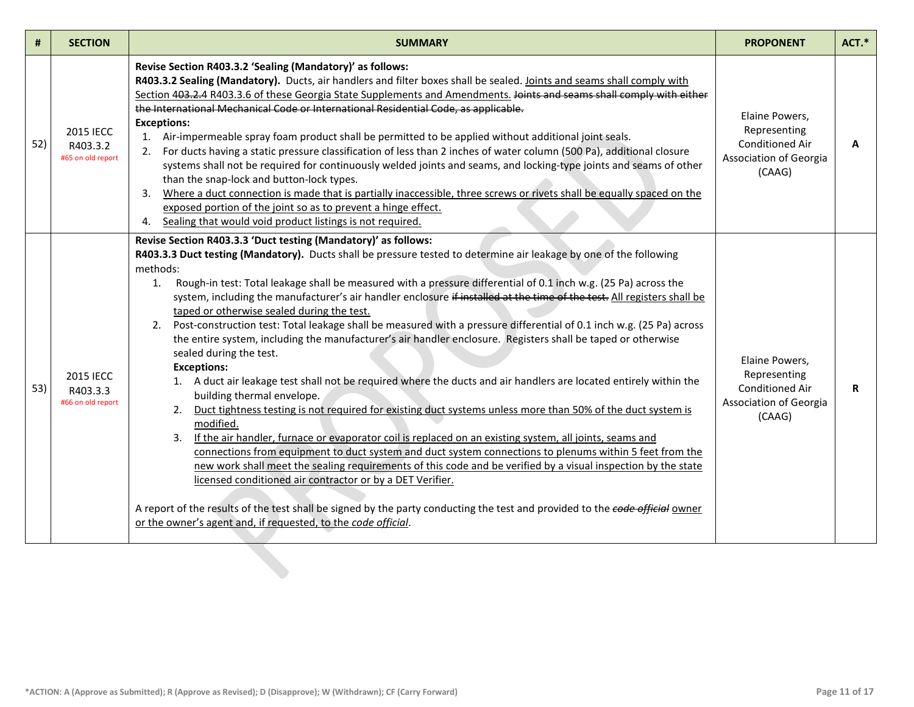| #   | <b>SECTION</b>                                    | <b>SUMMARY</b>                                                                                                                                                                                                                                                                                                                                                                                                                                                                                                                                                                                                                                                                                                                                                                                                                                                                                                                                                                                                                                                                                                                                                                                                                                                                                                                                                                                                                                                                                                                                                                                                                                                                           | <b>PROPONENT</b>                                                                             | ACT.* |
|-----|---------------------------------------------------|------------------------------------------------------------------------------------------------------------------------------------------------------------------------------------------------------------------------------------------------------------------------------------------------------------------------------------------------------------------------------------------------------------------------------------------------------------------------------------------------------------------------------------------------------------------------------------------------------------------------------------------------------------------------------------------------------------------------------------------------------------------------------------------------------------------------------------------------------------------------------------------------------------------------------------------------------------------------------------------------------------------------------------------------------------------------------------------------------------------------------------------------------------------------------------------------------------------------------------------------------------------------------------------------------------------------------------------------------------------------------------------------------------------------------------------------------------------------------------------------------------------------------------------------------------------------------------------------------------------------------------------------------------------------------------------|----------------------------------------------------------------------------------------------|-------|
| 52) | <b>2015 IECC</b><br>R403.3.2<br>#65 on old report | Revise Section R403.3.2 'Sealing (Mandatory)' as follows:<br>R403.3.2 Sealing (Mandatory). Ducts, air handlers and filter boxes shall be sealed. Joints and seams shall comply with<br>Section 403.2.4 R403.3.6 of these Georgia State Supplements and Amendments. Joints and seams shall comply with either<br>the International Mechanical Code or International Residential Code, as applicable.<br><b>Exceptions:</b><br>1. Air-impermeable spray foam product shall be permitted to be applied without additional joint seals.<br>For ducts having a static pressure classification of less than 2 inches of water column (500 Pa), additional closure<br>2.<br>systems shall not be required for continuously welded joints and seams, and locking-type joints and seams of other<br>than the snap-lock and button-lock types.<br>Where a duct connection is made that is partially inaccessible, three screws or rivets shall be equally spaced on the<br>3.<br>exposed portion of the joint so as to prevent a hinge effect.<br>4. Sealing that would void product listings is not required.                                                                                                                                                                                                                                                                                                                                                                                                                                                                                                                                                                                     | Elaine Powers,<br>Representing<br><b>Conditioned Air</b><br>Association of Georgia<br>(CAAG) | A     |
| 53) | <b>2015 IECC</b><br>R403.3.3<br>#66 on old report | Revise Section R403.3.3 'Duct testing (Mandatory)' as follows:<br>R403.3.3 Duct testing (Mandatory). Ducts shall be pressure tested to determine air leakage by one of the following<br>methods:<br>Rough-in test: Total leakage shall be measured with a pressure differential of 0.1 inch w.g. (25 Pa) across the<br>1.<br>system, including the manufacturer's air handler enclosure if installed at the time of the test. All registers shall be<br>taped or otherwise sealed during the test.<br>2. Post-construction test: Total leakage shall be measured with a pressure differential of 0.1 inch w.g. (25 Pa) across<br>the entire system, including the manufacturer's air handler enclosure. Registers shall be taped or otherwise<br>sealed during the test.<br><b>Exceptions:</b><br>1. A duct air leakage test shall not be required where the ducts and air handlers are located entirely within the<br>building thermal envelope.<br>2. Duct tightness testing is not required for existing duct systems unless more than 50% of the duct system is<br>modified.<br>3. If the air handler, furnace or evaporator coil is replaced on an existing system, all joints, seams and<br>connections from equipment to duct system and duct system connections to plenums within 5 feet from the<br>new work shall meet the sealing requirements of this code and be verified by a visual inspection by the state<br>licensed conditioned air contractor or by a DET Verifier.<br>A report of the results of the test shall be signed by the party conducting the test and provided to the code official owner<br>or the owner's agent and, if requested, to the code official. | Elaine Powers,<br>Representing<br><b>Conditioned Air</b><br>Association of Georgia<br>(CAAG) | R     |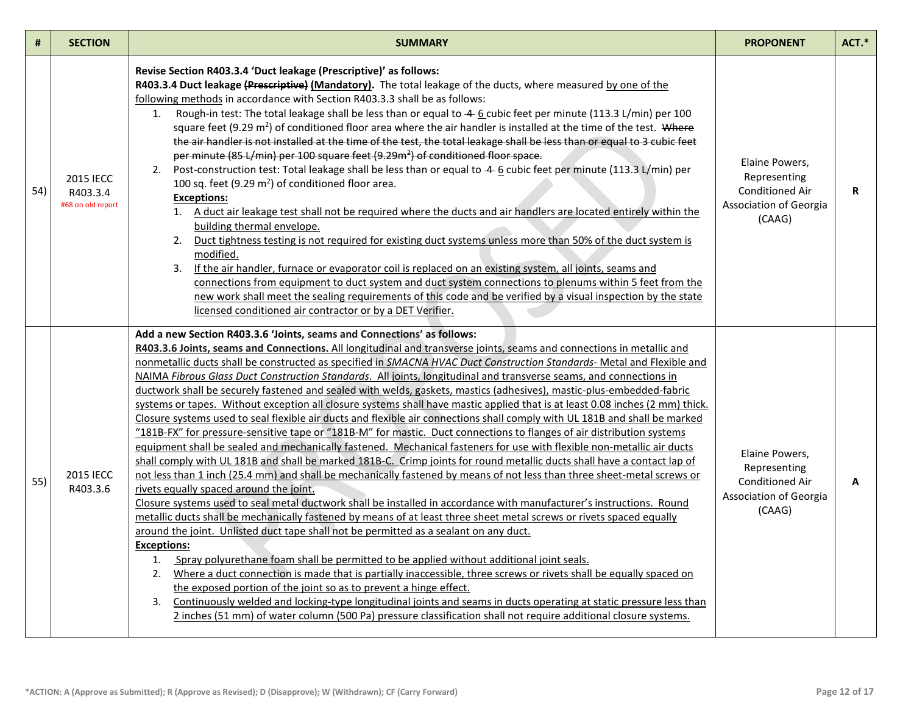| #   | <b>SECTION</b>                                    | <b>SUMMARY</b>                                                                                                                                                                                                                                                                                                                                                                                                                                                                                                                                                                                                                                                                                                                                                                                                                                                                                                                                                                                                                                                                                                                                                                                                                                                                                                                                                                                                                                                                                                                                                                                                                                                                                                                                                                                                                                                                                                                                                                                                                                                                                                                                                                                                                                                                                   | <b>PROPONENT</b>                                                                             | ACT.* |
|-----|---------------------------------------------------|--------------------------------------------------------------------------------------------------------------------------------------------------------------------------------------------------------------------------------------------------------------------------------------------------------------------------------------------------------------------------------------------------------------------------------------------------------------------------------------------------------------------------------------------------------------------------------------------------------------------------------------------------------------------------------------------------------------------------------------------------------------------------------------------------------------------------------------------------------------------------------------------------------------------------------------------------------------------------------------------------------------------------------------------------------------------------------------------------------------------------------------------------------------------------------------------------------------------------------------------------------------------------------------------------------------------------------------------------------------------------------------------------------------------------------------------------------------------------------------------------------------------------------------------------------------------------------------------------------------------------------------------------------------------------------------------------------------------------------------------------------------------------------------------------------------------------------------------------------------------------------------------------------------------------------------------------------------------------------------------------------------------------------------------------------------------------------------------------------------------------------------------------------------------------------------------------------------------------------------------------------------------------------------------------|----------------------------------------------------------------------------------------------|-------|
| 54) | <b>2015 IECC</b><br>R403.3.4<br>#68 on old report | Revise Section R403.3.4 'Duct leakage (Prescriptive)' as follows:<br>R403.3.4 Duct leakage (Prescriptive) (Mandatory). The total leakage of the ducts, where measured by one of the<br>following methods in accordance with Section R403.3.3 shall be as follows:<br>1. Rough-in test: The total leakage shall be less than or equal to -4 6 cubic feet per minute (113.3 L/min) per 100<br>square feet (9.29 $m^2$ ) of conditioned floor area where the air handler is installed at the time of the test. Where<br>the air handler is not installed at the time of the test, the total leakage shall be less than or equal to 3 cubic feet<br>per minute (85 L/min) per 100 square feet (9.29m <sup>2</sup> ) of conditioned floor space.<br>2. Post-construction test: Total leakage shall be less than or equal to 4 6 cubic feet per minute (113.3 L/min) per<br>100 sq. feet (9.29 m <sup>2</sup> ) of conditioned floor area.<br><b>Exceptions:</b><br>1. A duct air leakage test shall not be required where the ducts and air handlers are located entirely within the<br>building thermal envelope.<br>2. Duct tightness testing is not required for existing duct systems unless more than 50% of the duct system is<br>modified.<br>3. If the air handler, furnace or evaporator coil is replaced on an existing system, all joints, seams and<br>connections from equipment to duct system and duct system connections to plenums within 5 feet from the<br>new work shall meet the sealing requirements of this code and be verified by a visual inspection by the state<br>licensed conditioned air contractor or by a DET Verifier.                                                                                                                                                                                                                                                                                                                                                                                                                                                                                                                                                                                                                                              | Elaine Powers,<br>Representing<br><b>Conditioned Air</b><br>Association of Georgia<br>(CAAG) | R     |
| 55) | <b>2015 IECC</b><br>R403.3.6                      | Add a new Section R403.3.6 'Joints, seams and Connections' as follows:<br>R403.3.6 Joints, seams and Connections. All longitudinal and transverse joints, seams and connections in metallic and<br>nonmetallic ducts shall be constructed as specified in SMACNA HVAC Duct Construction Standards- Metal and Flexible and<br>NAIMA Fibrous Glass Duct Construction Standards. All joints, longitudinal and transverse seams, and connections in<br>ductwork shall be securely fastened and sealed with welds, gaskets, mastics (adhesives), mastic-plus-embedded-fabric<br>systems or tapes. Without exception all closure systems shall have mastic applied that is at least 0.08 inches (2 mm) thick.<br>Closure systems used to seal flexible air ducts and flexible air connections shall comply with UL 181B and shall be marked<br>"181B-FX" for pressure-sensitive tape or "181B-M" for mastic. Duct connections to flanges of air distribution systems<br>equipment shall be sealed and mechanically fastened. Mechanical fasteners for use with flexible non-metallic air ducts<br>shall comply with UL 181B and shall be marked 181B-C. Crimp joints for round metallic ducts shall have a contact lap of<br>not less than 1 inch (25.4 mm) and shall be mechanically fastened by means of not less than three sheet-metal screws or<br>rivets equally spaced around the joint.<br>Closure systems used to seal metal ductwork shall be installed in accordance with manufacturer's instructions. Round<br>metallic ducts shall be mechanically fastened by means of at least three sheet metal screws or rivets spaced equally<br>around the joint. Unlisted duct tape shall not be permitted as a sealant on any duct.<br><b>Exceptions:</b><br>1. Spray polyurethane foam shall be permitted to be applied without additional joint seals.<br>2. Where a duct connection is made that is partially inaccessible, three screws or rivets shall be equally spaced on<br>the exposed portion of the joint so as to prevent a hinge effect.<br>3. Continuously welded and locking-type longitudinal joints and seams in ducts operating at static pressure less than<br>2 inches (51 mm) of water column (500 Pa) pressure classification shall not require additional closure systems. | Elaine Powers,<br>Representing<br><b>Conditioned Air</b><br>Association of Georgia<br>(CAAG) | A     |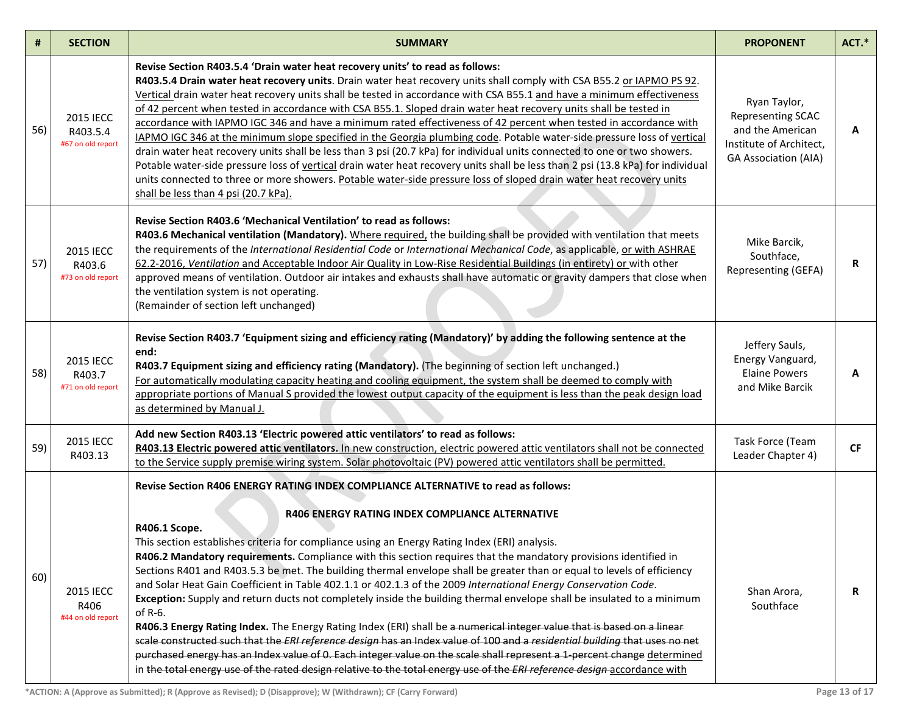| #   | <b>SECTION</b>                                  | <b>SUMMARY</b>                                                                                                                                                                                                                                                                                                                                                                                                                                                                                                                                                                                                                                                                                                                                                                                                                                                                                                                                                                                                                                                                                                                                                                                                                                                                       | <b>PROPONENT</b>                                                                                                | ACT.*     |
|-----|-------------------------------------------------|--------------------------------------------------------------------------------------------------------------------------------------------------------------------------------------------------------------------------------------------------------------------------------------------------------------------------------------------------------------------------------------------------------------------------------------------------------------------------------------------------------------------------------------------------------------------------------------------------------------------------------------------------------------------------------------------------------------------------------------------------------------------------------------------------------------------------------------------------------------------------------------------------------------------------------------------------------------------------------------------------------------------------------------------------------------------------------------------------------------------------------------------------------------------------------------------------------------------------------------------------------------------------------------|-----------------------------------------------------------------------------------------------------------------|-----------|
| 56) | 2015 IECC<br>R403.5.4<br>#67 on old report      | Revise Section R403.5.4 'Drain water heat recovery units' to read as follows:<br>R403.5.4 Drain water heat recovery units. Drain water heat recovery units shall comply with CSA B55.2 or IAPMO PS 92.<br>Vertical drain water heat recovery units shall be tested in accordance with CSA B55.1 and have a minimum effectiveness<br>of 42 percent when tested in accordance with CSA B55.1. Sloped drain water heat recovery units shall be tested in<br>accordance with IAPMO IGC 346 and have a minimum rated effectiveness of 42 percent when tested in accordance with<br>IAPMO IGC 346 at the minimum slope specified in the Georgia plumbing code. Potable water-side pressure loss of vertical<br>drain water heat recovery units shall be less than 3 psi (20.7 kPa) for individual units connected to one or two showers.<br>Potable water-side pressure loss of vertical drain water heat recovery units shall be less than 2 psi (13.8 kPa) for individual<br>units connected to three or more showers. Potable water-side pressure loss of sloped drain water heat recovery units<br>shall be less than 4 psi (20.7 kPa).                                                                                                                                                | Ryan Taylor,<br>Representing SCAC<br>and the American<br>Institute of Architect,<br><b>GA Association (AIA)</b> | А         |
| 57) | <b>2015 IECC</b><br>R403.6<br>#73 on old report | Revise Section R403.6 'Mechanical Ventilation' to read as follows:<br>R403.6 Mechanical ventilation (Mandatory). Where required, the building shall be provided with ventilation that meets<br>the requirements of the International Residential Code or International Mechanical Code, as applicable, or with ASHRAE<br>62.2-2016, Ventilation and Acceptable Indoor Air Quality in Low-Rise Residential Buildings (in entirety) or with other<br>approved means of ventilation. Outdoor air intakes and exhausts shall have automatic or gravity dampers that close when<br>the ventilation system is not operating.<br>(Remainder of section left unchanged)                                                                                                                                                                                                                                                                                                                                                                                                                                                                                                                                                                                                                      | Mike Barcik,<br>Southface,<br>Representing (GEFA)                                                               | R         |
| 58) | 2015 IECC<br>R403.7<br>#71 on old report        | Revise Section R403.7 'Equipment sizing and efficiency rating (Mandatory)' by adding the following sentence at the<br>end:<br>R403.7 Equipment sizing and efficiency rating (Mandatory). (The beginning of section left unchanged.)<br>For automatically modulating capacity heating and cooling equipment, the system shall be deemed to comply with<br>appropriate portions of Manual S provided the lowest output capacity of the equipment is less than the peak design load<br>as determined by Manual J.                                                                                                                                                                                                                                                                                                                                                                                                                                                                                                                                                                                                                                                                                                                                                                       | Jeffery Sauls,<br>Energy Vanguard,<br><b>Elaine Powers</b><br>and Mike Barcik                                   | A         |
| 59) | 2015 IECC<br>R403.13                            | Add new Section R403.13 'Electric powered attic ventilators' to read as follows:<br>R403.13 Electric powered attic ventilators. In new construction, electric powered attic ventilators shall not be connected<br>to the Service supply premise wiring system. Solar photovoltaic (PV) powered attic ventilators shall be permitted.                                                                                                                                                                                                                                                                                                                                                                                                                                                                                                                                                                                                                                                                                                                                                                                                                                                                                                                                                 | Task Force (Team<br>Leader Chapter 4)                                                                           | <b>CF</b> |
| 60) | 2015 IECC<br>R406<br>#44 on old report          | Revise Section R406 ENERGY RATING INDEX COMPLIANCE ALTERNATIVE to read as follows:<br><b>R406 ENERGY RATING INDEX COMPLIANCE ALTERNATIVE</b><br>R406.1 Scope.<br>This section establishes criteria for compliance using an Energy Rating Index (ERI) analysis.<br>R406.2 Mandatory requirements. Compliance with this section requires that the mandatory provisions identified in<br>Sections R401 and R403.5.3 be met. The building thermal envelope shall be greater than or equal to levels of efficiency<br>and Solar Heat Gain Coefficient in Table 402.1.1 or 402.1.3 of the 2009 International Energy Conservation Code.<br>Exception: Supply and return ducts not completely inside the building thermal envelope shall be insulated to a minimum<br>of R-6.<br>R406.3 Energy Rating Index. The Energy Rating Index (ERI) shall be a numerical integer value that is based on a linear<br>scale constructed such that the ERI reference design has an Index value of 100 and a residential building that uses no net<br>purchased energy has an Index value of 0. Each integer value on the scale shall represent a 1-percent change determined<br>in the total energy use of the rated design relative to the total energy use of the ERI reference design accordance with | Shan Arora,<br>Southface                                                                                        | R         |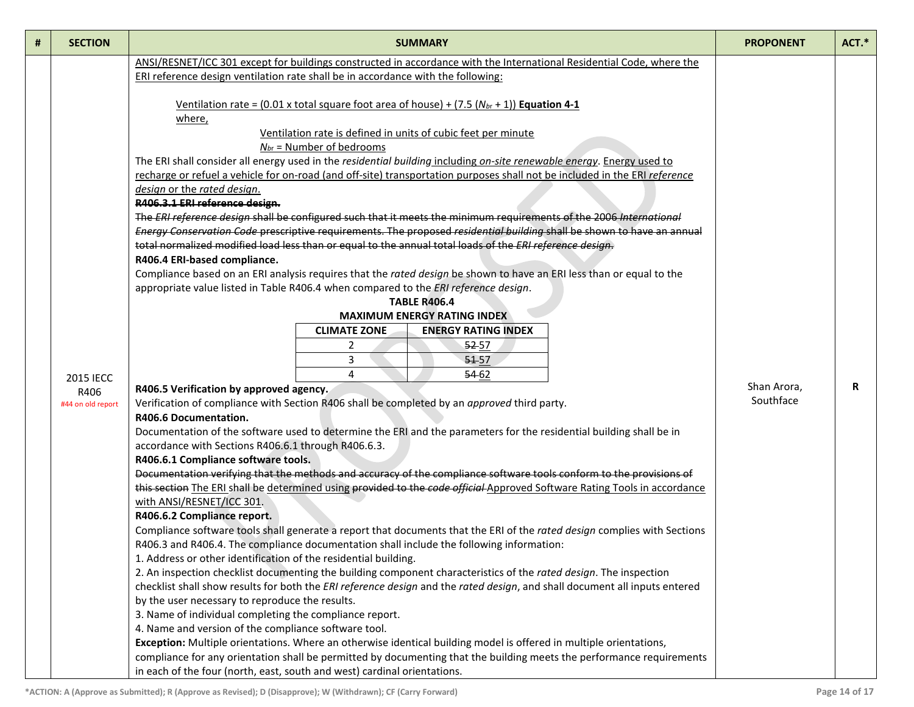|  | R                        |
|--|--------------------------|
|  |                          |
|  |                          |
|  |                          |
|  |                          |
|  |                          |
|  |                          |
|  |                          |
|  |                          |
|  |                          |
|  |                          |
|  |                          |
|  |                          |
|  |                          |
|  |                          |
|  |                          |
|  |                          |
|  |                          |
|  |                          |
|  | Shan Arora,<br>Southface |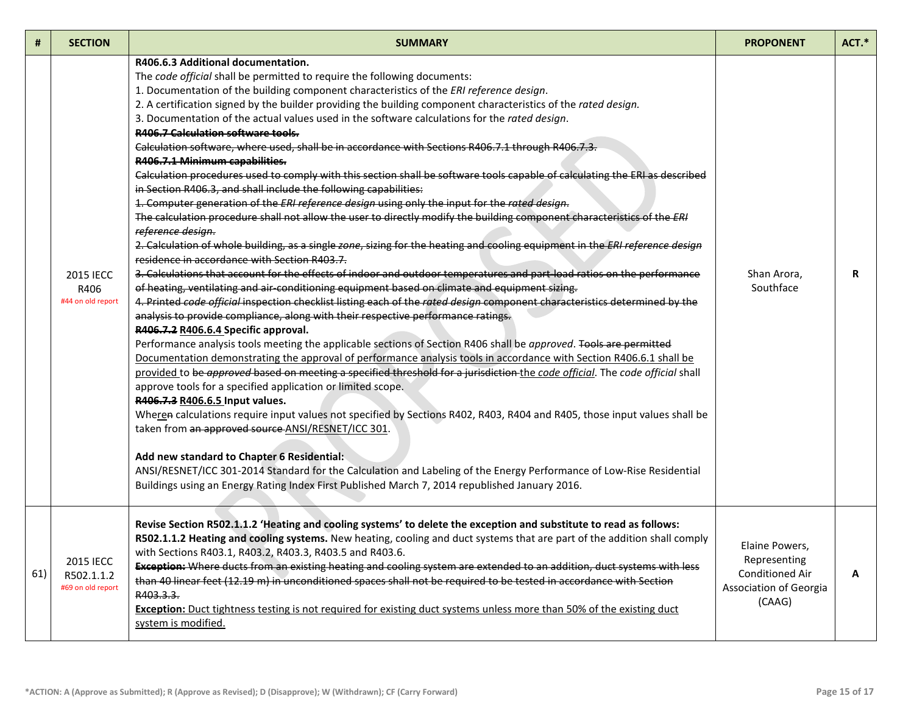| #   | <b>SECTION</b>                                | <b>SUMMARY</b>                                                                                                                                                                                                                                                                                                                                                                                                                                                                                                                                                                                                                                                                                                                                                                                                                                                                                                                                                                                                                                                                                                                                                                                                                                                                                                                                                                                                                                                                                                                                                                                                                                                                                                                                                                                                                                                                                                                                                                                                                                                                                                                                                                                                                                                                                                                                                                                                                                                                                                                                                                                                                                                                      | <b>PROPONENT</b>                                                                      | ACT.* |
|-----|-----------------------------------------------|-------------------------------------------------------------------------------------------------------------------------------------------------------------------------------------------------------------------------------------------------------------------------------------------------------------------------------------------------------------------------------------------------------------------------------------------------------------------------------------------------------------------------------------------------------------------------------------------------------------------------------------------------------------------------------------------------------------------------------------------------------------------------------------------------------------------------------------------------------------------------------------------------------------------------------------------------------------------------------------------------------------------------------------------------------------------------------------------------------------------------------------------------------------------------------------------------------------------------------------------------------------------------------------------------------------------------------------------------------------------------------------------------------------------------------------------------------------------------------------------------------------------------------------------------------------------------------------------------------------------------------------------------------------------------------------------------------------------------------------------------------------------------------------------------------------------------------------------------------------------------------------------------------------------------------------------------------------------------------------------------------------------------------------------------------------------------------------------------------------------------------------------------------------------------------------------------------------------------------------------------------------------------------------------------------------------------------------------------------------------------------------------------------------------------------------------------------------------------------------------------------------------------------------------------------------------------------------------------------------------------------------------------------------------------------------|---------------------------------------------------------------------------------------|-------|
|     | <b>2015 IECC</b><br>R406<br>#44 on old report | R406.6.3 Additional documentation.<br>The code official shall be permitted to require the following documents:<br>1. Documentation of the building component characteristics of the ERI reference design.<br>2. A certification signed by the builder providing the building component characteristics of the rated design.<br>3. Documentation of the actual values used in the software calculations for the rated design.<br><b>R406.7 Calculation software tools.</b><br>Calculation software, where used, shall be in accordance with Sections R406.7.1 through R406.7.3.<br>R406.7.1 Minimum capabilities.<br>Calculation procedures used to comply with this section shall be software tools capable of calculating the ERI as described<br>in Section R406.3, and shall include the following capabilities:<br>1. Computer generation of the ERI reference design using only the input for the rated design.<br>The calculation procedure shall not allow the user to directly modify the building component characteristics of the ERI<br>reference design.<br>2. Calculation of whole building, as a single zone, sizing for the heating and cooling equipment in the ERI reference design<br>residence in accordance with Section R403.7.<br>3. Calculations that account for the effects of indoor and outdoor temperatures and part load ratios on the performance<br>of heating, ventilating and air-conditioning equipment based on climate and equipment sizing.<br>4. Printed code official inspection checklist listing each of the rated design component characteristics determined by the<br>analysis to provide compliance, along with their respective performance ratings.<br>R406.7.2 R406.6.4 Specific approval.<br>Performance analysis tools meeting the applicable sections of Section R406 shall be approved. Tools are permitted<br>Documentation demonstrating the approval of performance analysis tools in accordance with Section R406.6.1 shall be<br>provided to be approved based on meeting a specified threshold for a jurisdiction the code official. The code official shall<br>approve tools for a specified application or limited scope.<br>R406.7.3 R406.6.5 Input values.<br>Wheren calculations require input values not specified by Sections R402, R403, R404 and R405, those input values shall be<br>taken from an approved source ANSI/RESNET/ICC 301.<br>Add new standard to Chapter 6 Residential:<br>ANSI/RESNET/ICC 301-2014 Standard for the Calculation and Labeling of the Energy Performance of Low-Rise Residential<br>Buildings using an Energy Rating Index First Published March 7, 2014 republished January 2016. | Shan Arora,<br>Southface                                                              | R     |
| 61) | 2015 IECC<br>R502.1.1.2<br>#69 on old report  | Revise Section R502.1.1.2 'Heating and cooling systems' to delete the exception and substitute to read as follows:<br>R502.1.1.2 Heating and cooling systems. New heating, cooling and duct systems that are part of the addition shall comply<br>with Sections R403.1, R403.2, R403.3, R403.5 and R403.6.<br>Exception: Where ducts from an existing heating and cooling system are extended to an addition, duct systems with less<br>than 40 linear feet (12.19 m) in unconditioned spaces shall not be required to be tested in accordance with Section<br>R403.3.3.<br>Exception: Duct tightness testing is not required for existing duct systems unless more than 50% of the existing duct<br>system is modified.                                                                                                                                                                                                                                                                                                                                                                                                                                                                                                                                                                                                                                                                                                                                                                                                                                                                                                                                                                                                                                                                                                                                                                                                                                                                                                                                                                                                                                                                                                                                                                                                                                                                                                                                                                                                                                                                                                                                                            | Elaine Powers,<br>Representing<br>Conditioned Air<br>Association of Georgia<br>(CAAG) | А     |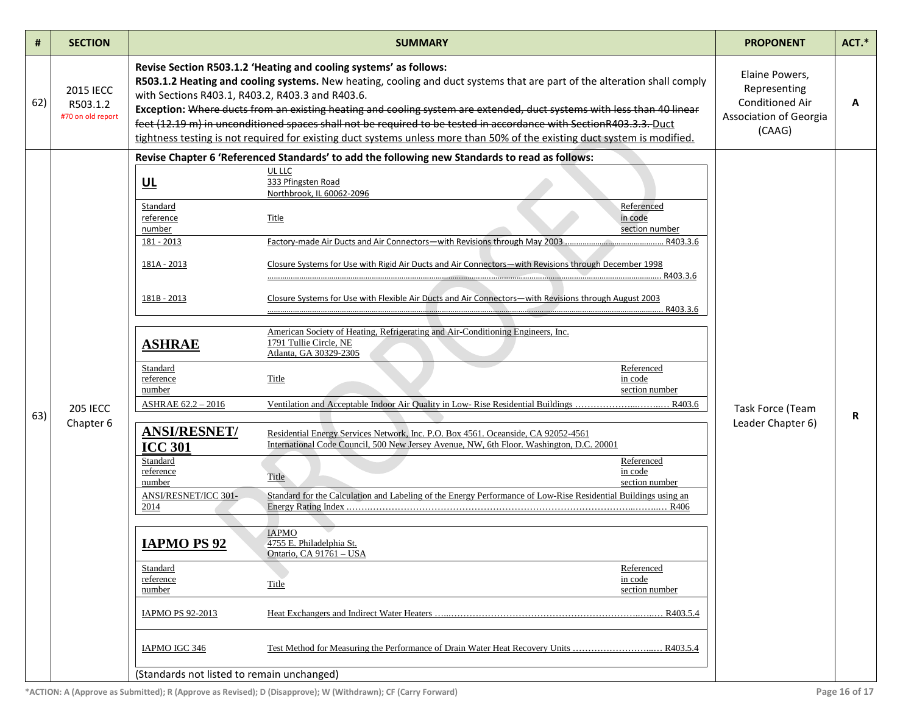| #   | <b>SECTION</b>                                    |                                                                                                                                                                                                                                                                                                                        | <b>SUMMARY</b>                                                                                                                                                                                                                                                                                                                                                                                                                                                                                                                                                                                                                                                                                                                                                                                                                                                                                                                                                                            |          | <b>PROPONENT</b>                                                                             | $ACT.*$ |
|-----|---------------------------------------------------|------------------------------------------------------------------------------------------------------------------------------------------------------------------------------------------------------------------------------------------------------------------------------------------------------------------------|-------------------------------------------------------------------------------------------------------------------------------------------------------------------------------------------------------------------------------------------------------------------------------------------------------------------------------------------------------------------------------------------------------------------------------------------------------------------------------------------------------------------------------------------------------------------------------------------------------------------------------------------------------------------------------------------------------------------------------------------------------------------------------------------------------------------------------------------------------------------------------------------------------------------------------------------------------------------------------------------|----------|----------------------------------------------------------------------------------------------|---------|
| 62) | <b>2015 IECC</b><br>R503.1.2<br>#70 on old report | with Sections R403.1, R403.2, R403.3 and R403.6.                                                                                                                                                                                                                                                                       | Revise Section R503.1.2 'Heating and cooling systems' as follows:<br>R503.1.2 Heating and cooling systems. New heating, cooling and duct systems that are part of the alteration shall comply<br>Exception: Where ducts from an existing heating and cooling system are extended, duct systems with less than 40 linear<br>feet (12.19 m) in unconditioned spaces shall not be required to be tested in accordance with SectionR403.3.3. Duct<br>tightness testing is not required for existing duct systems unless more than 50% of the existing duct system is modified.                                                                                                                                                                                                                                                                                                                                                                                                                |          | Elaine Powers,<br>Representing<br><b>Conditioned Air</b><br>Association of Georgia<br>(CAAG) | A       |
|     |                                                   |                                                                                                                                                                                                                                                                                                                        | Revise Chapter 6 'Referenced Standards' to add the following new Standards to read as follows:                                                                                                                                                                                                                                                                                                                                                                                                                                                                                                                                                                                                                                                                                                                                                                                                                                                                                            |          |                                                                                              |         |
| 63) | <b>205 IECC</b><br>Chapter 6                      | UL<br>Standard<br>reference<br>number<br>181 - 2013<br>181A - 2013<br>181B - 2013<br><b>ASHRAE</b><br>Standard<br>reference<br>number<br>ASHRAE 62.2 - 2016<br><b>ANSI/RESNET/</b><br><b>ICC 301</b><br>Standard<br>reference<br>number<br>ANSI/RESNET/ICC 301-<br>2014<br><b>IAPMO PS 92</b><br>Standard<br>reference | UL LLC<br>333 Pfingsten Road<br>Northbrook, IL 60062-2096<br>Referenced<br>in code<br>Title<br>section number<br>Closure Systems for Use with Rigid Air Ducts and Air Connectors-with Revisions through December 1998<br>Closure Systems for Use with Flexible Air Ducts and Air Connectors—with Revisions through August 2003<br>American Society of Heating, Refrigerating and Air-Conditioning Engineers, Inc.<br>1791 Tullie Circle, NE<br>Atlanta, GA 30329-2305<br>Referenced<br>Title<br>in code<br>section number<br>Residential Energy Services Network, Inc. P.O. Box 4561. Oceanside, CA 92052-4561<br>International Code Council, 500 New Jersey Avenue, NW, 6th Floor. Washington, D.C. 20001<br>Referenced<br>in code<br>Title<br>section number<br>Standard for the Calculation and Labeling of the Energy Performance of Low-Rise Residential Buildings using an<br><b>IAPMO</b><br>4755 E. Philadelphia St.<br>Ontario, CA 91761 - USA<br>Referenced<br>in code<br>Title | R403.3.6 | Task Force (Team<br>Leader Chapter 6)                                                        | R       |
|     |                                                   | number<br>IAPMO PS 92-2013                                                                                                                                                                                                                                                                                             | section number                                                                                                                                                                                                                                                                                                                                                                                                                                                                                                                                                                                                                                                                                                                                                                                                                                                                                                                                                                            |          |                                                                                              |         |
|     |                                                   | IAPMO IGC 346                                                                                                                                                                                                                                                                                                          |                                                                                                                                                                                                                                                                                                                                                                                                                                                                                                                                                                                                                                                                                                                                                                                                                                                                                                                                                                                           |          |                                                                                              |         |
|     |                                                   | (Standards not listed to remain unchanged)                                                                                                                                                                                                                                                                             |                                                                                                                                                                                                                                                                                                                                                                                                                                                                                                                                                                                                                                                                                                                                                                                                                                                                                                                                                                                           |          |                                                                                              |         |